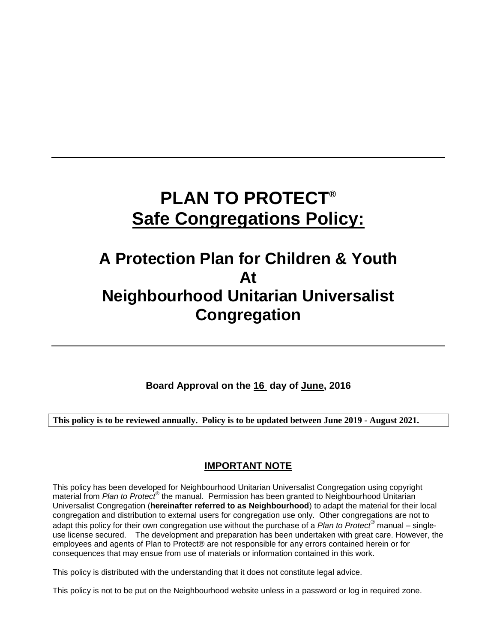# **PLAN TO PROTECT® Safe Congregations Policy:**

# **A Protection Plan for Children & Youth At Neighbourhood Unitarian Universalist Congregation**

**Board Approval on the 16 day of June, 2016**

**This policy is to be reviewed annually. Policy is to be updated between June 2019 - August 2021.**

# **IMPORTANT NOTE**

This policy has been developed for Neighbourhood Unitarian Universalist Congregation using copyright material from *Plan to Protect<sup>®</sup>* the manual. Permission has been granted to Neighbourhood Unitarian Universalist Congregation (**hereinafter referred to as Neighbourhood**) to adapt the material for their local congregation and distribution to external users for congregation use only. Other congregations are not to adapt this policy for their own congregation use without the purchase of a *Plan to Protect®* manual – singleuse license secured. The development and preparation has been undertaken with great care. However, the employees and agents of Plan to Protect® are not responsible for any errors contained herein or for consequences that may ensue from use of materials or information contained in this work.

This policy is distributed with the understanding that it does not constitute legal advice.

This policy is not to be put on the Neighbourhood website unless in a password or log in required zone.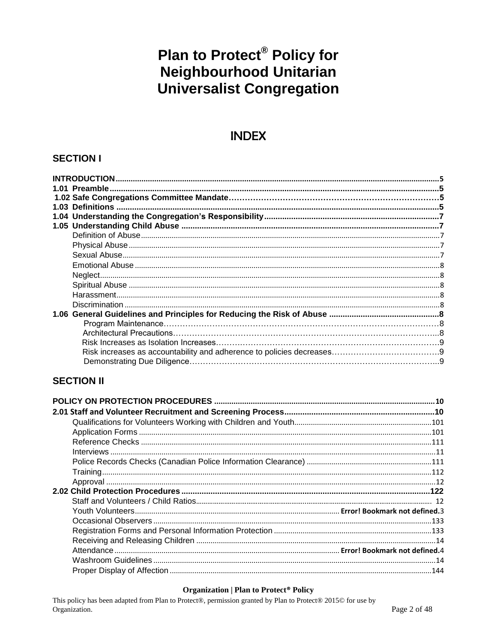# **Plan to Protect<sup>®</sup> Policy for<br>Neighbourhood Unitarian Universalist Congregation**

# **INDEX**

# **SECTION I**

# **SECTION II**

#### **Organization | Plan to Protect<sup>®</sup> Policy**

This policy has been adapted from Plan to Protect®, permission granted by Plan to Protect® 2015© for use by Organization.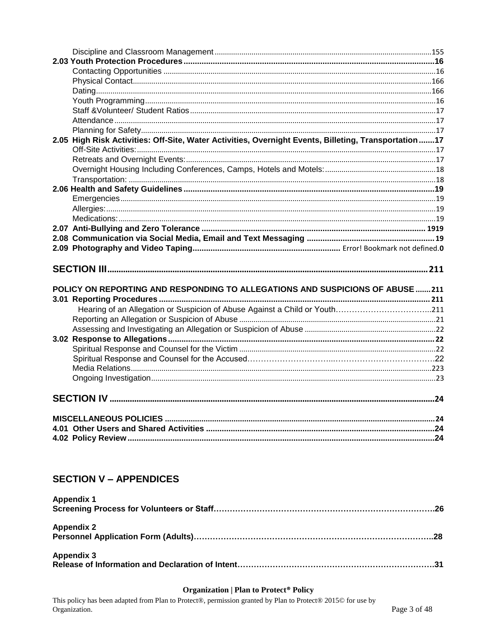| 2.05 High Risk Activities: Off-Site, Water Activities, Overnight Events, Billeting, Transportation17 |  |
|------------------------------------------------------------------------------------------------------|--|
|                                                                                                      |  |
|                                                                                                      |  |
|                                                                                                      |  |
|                                                                                                      |  |
|                                                                                                      |  |
|                                                                                                      |  |
|                                                                                                      |  |
|                                                                                                      |  |
|                                                                                                      |  |
|                                                                                                      |  |
|                                                                                                      |  |
|                                                                                                      |  |
|                                                                                                      |  |
|                                                                                                      |  |
|                                                                                                      |  |
|                                                                                                      |  |
| POLICY ON REPORTING AND RESPONDING TO ALLEGATIONS AND SUSPICIONS OF ABUSE 211                        |  |
|                                                                                                      |  |
|                                                                                                      |  |
|                                                                                                      |  |
|                                                                                                      |  |
|                                                                                                      |  |
|                                                                                                      |  |
|                                                                                                      |  |
|                                                                                                      |  |
|                                                                                                      |  |
|                                                                                                      |  |
|                                                                                                      |  |
|                                                                                                      |  |
|                                                                                                      |  |
|                                                                                                      |  |

# **SECTION V - APPENDICES**

| <b>Appendix 1</b> |  |
|-------------------|--|
|                   |  |
| <b>Appendix 2</b> |  |
|                   |  |
| <b>Appendix 3</b> |  |
|                   |  |

#### **Organization | Plan to Protect<sup>®</sup> Policy**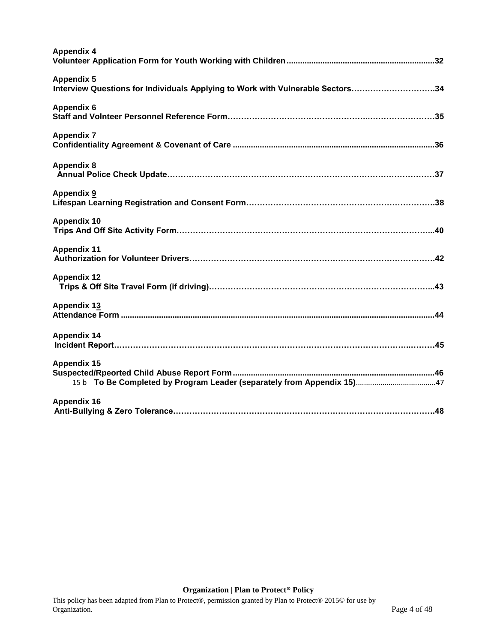| <b>Appendix 4</b>                                                                                   |
|-----------------------------------------------------------------------------------------------------|
| <b>Appendix 5</b><br>Interview Questions for Individuals Applying to Work with Vulnerable Sectors34 |
| <b>Appendix 6</b>                                                                                   |
| <b>Appendix 7</b>                                                                                   |
| <b>Appendix 8</b>                                                                                   |
| <b>Appendix 9</b>                                                                                   |
| <b>Appendix 10</b>                                                                                  |
| <b>Appendix 11</b>                                                                                  |
| <b>Appendix 12</b>                                                                                  |
| <b>Appendix 13</b>                                                                                  |
| <b>Appendix 14</b>                                                                                  |
| <b>Appendix 15</b>                                                                                  |
| <b>Appendix 16</b>                                                                                  |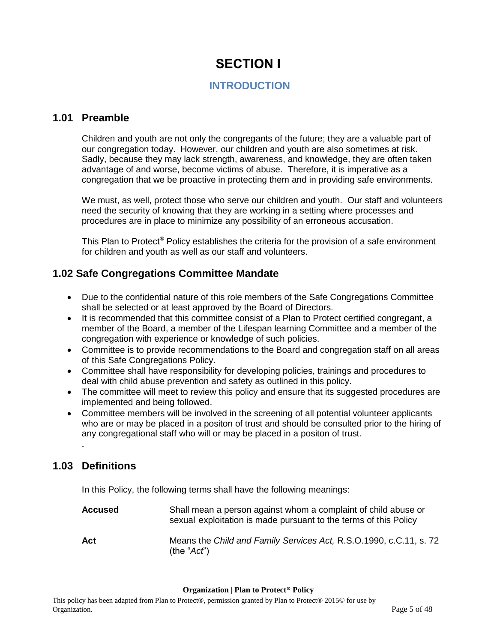# **SECTION I**

# <span id="page-4-1"></span>**INTRODUCTION**

### <span id="page-4-2"></span><span id="page-4-0"></span>**1.01 Preamble**

Children and youth are not only the congregants of the future; they are a valuable part of our congregation today. However, our children and youth are also sometimes at risk. Sadly, because they may lack strength, awareness, and knowledge, they are often taken advantage of and worse, become victims of abuse. Therefore, it is imperative as a congregation that we be proactive in protecting them and in providing safe environments.

We must, as well, protect those who serve our children and youth. Our staff and volunteers need the security of knowing that they are working in a setting where processes and procedures are in place to minimize any possibility of an erroneous accusation.

This Plan to Protect<sup>®</sup> Policy establishes the criteria for the provision of a safe environment for children and youth as well as our staff and volunteers.

# **1.02 Safe Congregations Committee Mandate**

- Due to the confidential nature of this role members of the Safe Congregations Committee shall be selected or at least approved by the Board of Directors.
- It is recommended that this committee consist of a Plan to Protect certified congregant, a member of the Board, a member of the Lifespan learning Committee and a member of the congregation with experience or knowledge of such policies.
- Committee is to provide recommendations to the Board and congregation staff on all areas of this Safe Congregations Policy.
- Committee shall have responsibility for developing policies, trainings and procedures to deal with child abuse prevention and safety as outlined in this policy.
- The committee will meet to review this policy and ensure that its suggested procedures are implemented and being followed.
- Committee members will be involved in the screening of all potential volunteer applicants who are or may be placed in a positon of trust and should be consulted prior to the hiring of any congregational staff who will or may be placed in a positon of trust.

# <span id="page-4-3"></span>**1.03 Definitions**

.

In this Policy, the following terms shall have the following meanings:

| <b>Accused</b> | Shall mean a person against whom a complaint of child abuse or<br>sexual exploitation is made pursuant to the terms of this Policy |
|----------------|------------------------------------------------------------------------------------------------------------------------------------|
| Act            | Means the Child and Family Services Act, R.S.O.1990, c.C.11, s. 72<br>(the "Act")                                                  |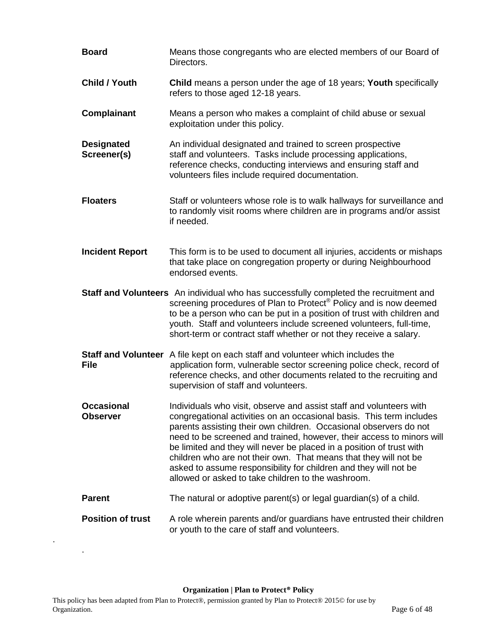| <b>Board</b>                     | Means those congregants who are elected members of our Board of<br>Directors.                                                                                                                                                                                                                                                                                                                                                                                                                                                                                   |
|----------------------------------|-----------------------------------------------------------------------------------------------------------------------------------------------------------------------------------------------------------------------------------------------------------------------------------------------------------------------------------------------------------------------------------------------------------------------------------------------------------------------------------------------------------------------------------------------------------------|
| <b>Child / Youth</b>             | <b>Child</b> means a person under the age of 18 years; Youth specifically<br>refers to those aged 12-18 years.                                                                                                                                                                                                                                                                                                                                                                                                                                                  |
| Complainant                      | Means a person who makes a complaint of child abuse or sexual<br>exploitation under this policy.                                                                                                                                                                                                                                                                                                                                                                                                                                                                |
| <b>Designated</b><br>Screener(s) | An individual designated and trained to screen prospective<br>staff and volunteers. Tasks include processing applications,<br>reference checks, conducting interviews and ensuring staff and<br>volunteers files include required documentation.                                                                                                                                                                                                                                                                                                                |
| <b>Floaters</b>                  | Staff or volunteers whose role is to walk hallways for surveillance and<br>to randomly visit rooms where children are in programs and/or assist<br>if needed.                                                                                                                                                                                                                                                                                                                                                                                                   |
| <b>Incident Report</b>           | This form is to be used to document all injuries, accidents or mishaps<br>that take place on congregation property or during Neighbourhood<br>endorsed events.                                                                                                                                                                                                                                                                                                                                                                                                  |
|                                  | Staff and Volunteers An individual who has successfully completed the recruitment and<br>screening procedures of Plan to Protect <sup>®</sup> Policy and is now deemed<br>to be a person who can be put in a position of trust with children and<br>youth. Staff and volunteers include screened volunteers, full-time,<br>short-term or contract staff whether or not they receive a salary.                                                                                                                                                                   |
| <b>File</b>                      | Staff and Volunteer A file kept on each staff and volunteer which includes the<br>application form, vulnerable sector screening police check, record of<br>reference checks, and other documents related to the recruiting and<br>supervision of staff and volunteers.                                                                                                                                                                                                                                                                                          |
| Occasional<br><b>Observer</b>    | Individuals who visit, observe and assist staff and volunteers with<br>congregational activities on an occasional basis. This term includes<br>parents assisting their own children. Occasional observers do not<br>need to be screened and trained, however, their access to minors will<br>be limited and they will never be placed in a position of trust with<br>children who are not their own. That means that they will not be<br>asked to assume responsibility for children and they will not be<br>allowed or asked to take children to the washroom. |
| <b>Parent</b>                    | The natural or adoptive parent(s) or legal guardian(s) of a child.                                                                                                                                                                                                                                                                                                                                                                                                                                                                                              |
| <b>Position of trust</b>         | A role wherein parents and/or guardians have entrusted their children<br>or youth to the care of staff and volunteers.                                                                                                                                                                                                                                                                                                                                                                                                                                          |

**Organization | Plan to Protect® Policy**

.

.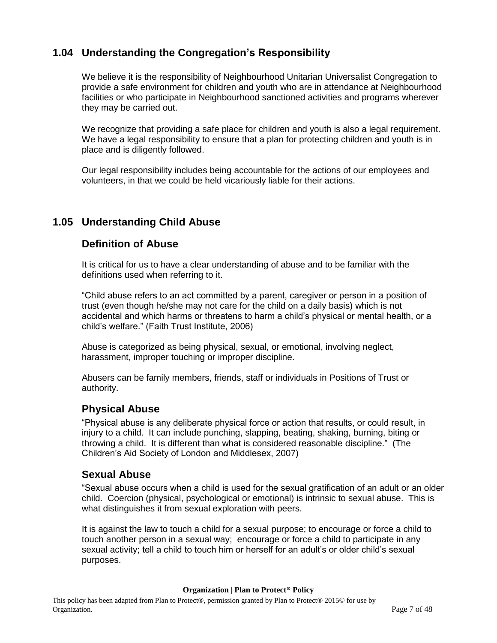# <span id="page-6-0"></span>**1.04 Understanding the Congregation's Responsibility**

We believe it is the responsibility of Neighbourhood Unitarian Universalist Congregation to provide a safe environment for children and youth who are in attendance at Neighbourhood facilities or who participate in Neighbourhood sanctioned activities and programs wherever they may be carried out.

We recognize that providing a safe place for children and youth is also a legal requirement. We have a legal responsibility to ensure that a plan for protecting children and youth is in place and is diligently followed.

Our legal responsibility includes being accountable for the actions of our employees and volunteers, in that we could be held vicariously liable for their actions.

# <span id="page-6-1"></span>**1.05 Understanding Child Abuse**

### <span id="page-6-2"></span>**Definition of Abuse**

It is critical for us to have a clear understanding of abuse and to be familiar with the definitions used when referring to it.

"Child abuse refers to an act committed by a parent, caregiver or person in a position of trust (even though he/she may not care for the child on a daily basis) which is not accidental and which harms or threatens to harm a child's physical or mental health, or a child's welfare." (Faith Trust Institute, 2006)

Abuse is categorized as being physical, sexual, or emotional, involving neglect, harassment, improper touching or improper discipline.

Abusers can be family members, friends, staff or individuals in Positions of Trust or authority.

### <span id="page-6-3"></span>**Physical Abuse**

"Physical abuse is any deliberate physical force or action that results, or could result, in injury to a child. It can include punching, slapping, beating, shaking, burning, biting or throwing a child. It is different than what is considered reasonable discipline." (The Children's Aid Society of London and Middlesex, 2007)

### <span id="page-6-4"></span>**Sexual Abuse**

"Sexual abuse occurs when a child is used for the sexual gratification of an adult or an older child. Coercion (physical, psychological or emotional) is intrinsic to sexual abuse. This is what distinguishes it from sexual exploration with peers.

It is against the law to touch a child for a sexual purpose; to encourage or force a child to touch another person in a sexual way; encourage or force a child to participate in any sexual activity; tell a child to touch him or herself for an adult's or older child's sexual purposes.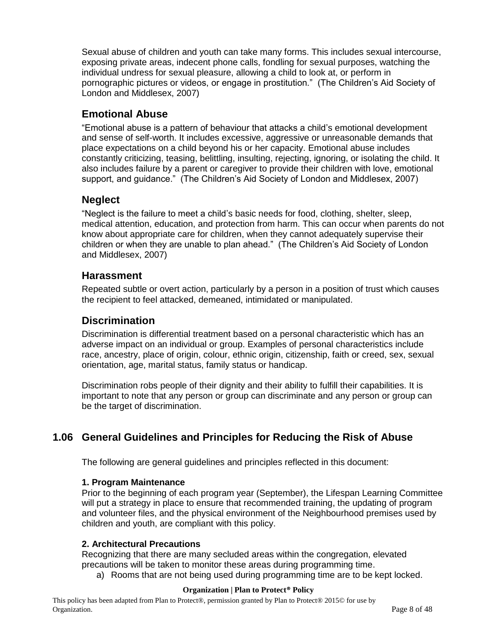Sexual abuse of children and youth can take many forms. This includes sexual intercourse, exposing private areas, indecent phone calls, fondling for sexual purposes, watching the individual undress for sexual pleasure, allowing a child to look at, or perform in pornographic pictures or videos, or engage in prostitution." (The Children's Aid Society of London and Middlesex, 2007)

# <span id="page-7-0"></span>**Emotional Abuse**

"Emotional abuse is a pattern of behaviour that attacks a child's emotional development and sense of self-worth. It includes excessive, aggressive or unreasonable demands that place expectations on a child beyond his or her capacity. Emotional abuse includes constantly criticizing, teasing, belittling, insulting, rejecting, ignoring, or isolating the child. It also includes failure by a parent or caregiver to provide their children with love, emotional support, and guidance." (The Children's Aid Society of London and Middlesex, 2007)

# <span id="page-7-1"></span>**Neglect**

"Neglect is the failure to meet a child's basic needs for food, clothing, shelter, sleep, medical attention, education, and protection from harm. This can occur when parents do not know about appropriate care for children, when they cannot adequately supervise their children or when they are unable to plan ahead." (The Children's Aid Society of London and Middlesex, 2007)

# <span id="page-7-2"></span>**Harassment**

Repeated subtle or overt action, particularly by a person in a position of trust which causes the recipient to feel attacked, demeaned, intimidated or manipulated.

# <span id="page-7-3"></span>**Discrimination**

Discrimination is differential treatment based on a personal characteristic which has an adverse impact on an individual or group. Examples of personal characteristics include race, ancestry, place of origin, colour, ethnic origin, citizenship, faith or creed, sex, sexual orientation, age, marital status, family status or handicap.

Discrimination robs people of their dignity and their ability to fulfill their capabilities. It is important to note that any person or group can discriminate and any person or group can be the target of discrimination.

# <span id="page-7-4"></span>**1.06 General Guidelines and Principles for Reducing the Risk of Abuse**

The following are general guidelines and principles reflected in this document:

### **1. Program Maintenance**

Prior to the beginning of each program year (September), the Lifespan Learning Committee will put a strategy in place to ensure that recommended training, the updating of program and volunteer files, and the physical environment of the Neighbourhood premises used by children and youth, are compliant with this policy.

### **2. Architectural Precautions**

Recognizing that there are many secluded areas within the congregation, elevated precautions will be taken to monitor these areas during programming time.

a) Rooms that are not being used during programming time are to be kept locked.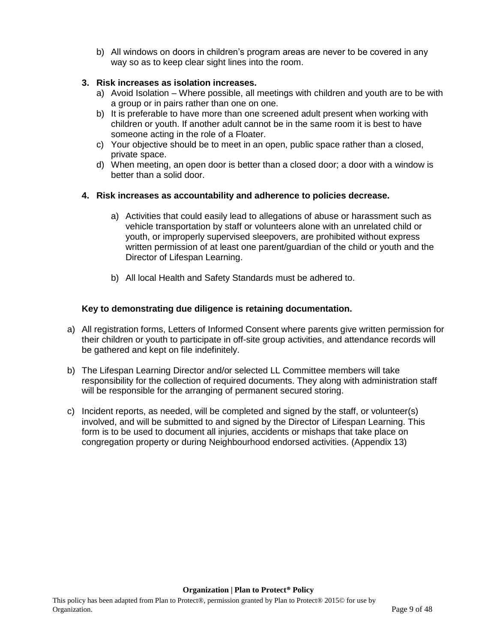b) All windows on doors in children's program areas are never to be covered in any way so as to keep clear sight lines into the room.

#### **3. Risk increases as isolation increases.**

- a) Avoid Isolation Where possible, all meetings with children and youth are to be with a group or in pairs rather than one on one.
- b) It is preferable to have more than one screened adult present when working with children or youth. If another adult cannot be in the same room it is best to have someone acting in the role of a Floater.
- c) Your objective should be to meet in an open, public space rather than a closed, private space.
- d) When meeting, an open door is better than a closed door; a door with a window is better than a solid door.

#### **4. Risk increases as accountability and adherence to policies decrease.**

- a) Activities that could easily lead to allegations of abuse or harassment such as vehicle transportation by staff or volunteers alone with an unrelated child or youth, or improperly supervised sleepovers, are prohibited without express written permission of at least one parent/guardian of the child or youth and the Director of Lifespan Learning.
- b) All local Health and Safety Standards must be adhered to.

#### **Key to demonstrating due diligence is retaining documentation.**

- a) All registration forms, Letters of Informed Consent where parents give written permission for their children or youth to participate in off-site group activities, and attendance records will be gathered and kept on file indefinitely.
- b) The Lifespan Learning Director and/or selected LL Committee members will take responsibility for the collection of required documents. They along with administration staff will be responsible for the arranging of permanent secured storing.
- c) Incident reports, as needed, will be completed and signed by the staff, or volunteer(s) involved, and will be submitted to and signed by the Director of Lifespan Learning. This form is to be used to document all injuries, accidents or mishaps that take place on congregation property or during Neighbourhood endorsed activities. (Appendix 13)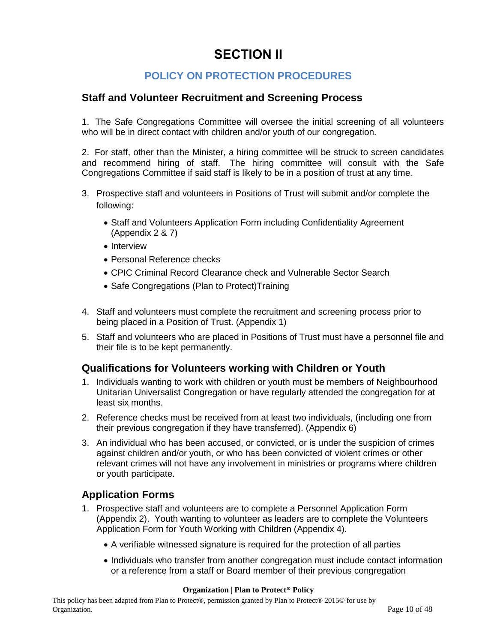# **SECTION II**

# **POLICY ON PROTECTION PROCEDURES**

### <span id="page-9-2"></span><span id="page-9-1"></span><span id="page-9-0"></span>**Staff and Volunteer Recruitment and Screening Process**

1. The Safe Congregations Committee will oversee the initial screening of all volunteers who will be in direct contact with children and/or youth of our congregation.

2. For staff, other than the Minister, a hiring committee will be struck to screen candidates and recommend hiring of staff. The hiring committee will consult with the Safe Congregations Committee if said staff is likely to be in a position of trust at any time.

- 3. Prospective staff and volunteers in Positions of Trust will submit and/or complete the following:
	- Staff and Volunteers Application Form including Confidentiality Agreement (Appendix 2 & 7)
	- Interview
	- Personal Reference checks
	- CPIC Criminal Record Clearance check and Vulnerable Sector Search
	- Safe Congregations (Plan to Protect) Training
- 4. Staff and volunteers must complete the recruitment and screening process prior to being placed in a Position of Trust. (Appendix 1)
- 5. Staff and volunteers who are placed in Positions of Trust must have a personnel file and their file is to be kept permanently.

### <span id="page-9-3"></span>**Qualifications for Volunteers working with Children or Youth**

- 1. Individuals wanting to work with children or youth must be members of Neighbourhood Unitarian Universalist Congregation or have regularly attended the congregation for at least six months.
- 2. Reference checks must be received from at least two individuals, (including one from their previous congregation if they have transferred). (Appendix 6)
- 3. An individual who has been accused, or convicted, or is under the suspicion of crimes against children and/or youth, or who has been convicted of violent crimes or other relevant crimes will not have any involvement in ministries or programs where children or youth participate.

### <span id="page-9-4"></span>**Application Forms**

- 1. Prospective staff and volunteers are to complete a Personnel Application Form (Appendix 2). Youth wanting to volunteer as leaders are to complete the Volunteers Application Form for Youth Working with Children (Appendix 4).
	- A verifiable witnessed signature is required for the protection of all parties
	- Individuals who transfer from another congregation must include contact information or a reference from a staff or Board member of their previous congregation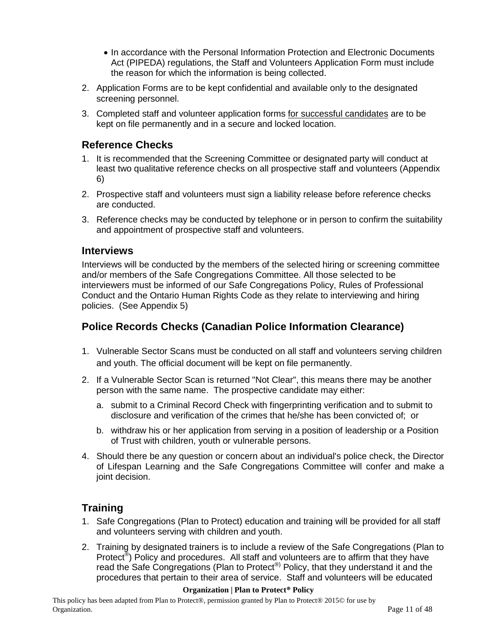- In accordance with the Personal Information Protection and Electronic Documents Act (PIPEDA) regulations, the Staff and Volunteers Application Form must include the reason for which the information is being collected.
- 2. Application Forms are to be kept confidential and available only to the designated screening personnel.
- 3. Completed staff and volunteer application forms for successful candidates are to be kept on file permanently and in a secure and locked location.

# <span id="page-10-0"></span>**Reference Checks**

- 1. It is recommended that the Screening Committee or designated party will conduct at least two qualitative reference checks on all prospective staff and volunteers (Appendix 6)
- 2. Prospective staff and volunteers must sign a liability release before reference checks are conducted.
- 3. Reference checks may be conducted by telephone or in person to confirm the suitability and appointment of prospective staff and volunteers.

#### <span id="page-10-1"></span>**Interviews**

Interviews will be conducted by the members of the selected hiring or screening committee and/or members of the Safe Congregations Committee. All those selected to be interviewers must be informed of our Safe Congregations Policy, Rules of Professional Conduct and the Ontario Human Rights Code as they relate to interviewing and hiring policies. (See Appendix 5)

### <span id="page-10-2"></span>**Police Records Checks (Canadian Police Information Clearance)**

- 1. Vulnerable Sector Scans must be conducted on all staff and volunteers serving children and youth. The official document will be kept on file permanently.
- 2. If a Vulnerable Sector Scan is returned "Not Clear", this means there may be another person with the same name. The prospective candidate may either:
	- a. submit to a Criminal Record Check with fingerprinting verification and to submit to disclosure and verification of the crimes that he/she has been convicted of; or
	- b. withdraw his or her application from serving in a position of leadership or a Position of Trust with children, youth or vulnerable persons.
- 4. Should there be any question or concern about an individual's police check, the Director of Lifespan Learning and the Safe Congregations Committee will confer and make a joint decision.

# <span id="page-10-3"></span>**Training**

- 1. Safe Congregations (Plan to Protect) education and training will be provided for all staff and volunteers serving with children and youth.
- 2. Training by designated trainers is to include a review of the Safe Congregations (Plan to Protect<sup>®</sup>) Policy and procedures. All staff and volunteers are to affirm that they have read the Safe Congregations (Plan to Protect<sup>®)</sup> Policy, that they understand it and the procedures that pertain to their area of service. Staff and volunteers will be educated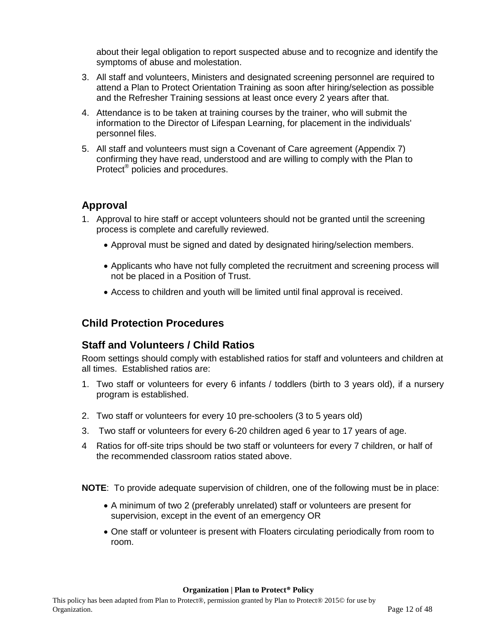about their legal obligation to report suspected abuse and to recognize and identify the symptoms of abuse and molestation.

- 3. All staff and volunteers, Ministers and designated screening personnel are required to attend a Plan to Protect Orientation Training as soon after hiring/selection as possible and the Refresher Training sessions at least once every 2 years after that.
- 4. Attendance is to be taken at training courses by the trainer, who will submit the information to the Director of Lifespan Learning, for placement in the individuals' personnel files.
- 5. All staff and volunteers must sign a Covenant of Care agreement (Appendix 7) confirming they have read, understood and are willing to comply with the Plan to Protect<sup>®</sup> policies and procedures.

# <span id="page-11-0"></span>**Approval**

- 1. Approval to hire staff or accept volunteers should not be granted until the screening process is complete and carefully reviewed.
	- Approval must be signed and dated by designated hiring/selection members.
	- Applicants who have not fully completed the recruitment and screening process will not be placed in a Position of Trust.
	- Access to children and youth will be limited until final approval is received.

# <span id="page-11-1"></span>**Child Protection Procedures**

### **Staff and Volunteers / Child Ratios**

Room settings should comply with established ratios for staff and volunteers and children at all times. Established ratios are:

- 1. Two staff or volunteers for every 6 infants / toddlers (birth to 3 years old), if a nursery program is established.
- 2. Two staff or volunteers for every 10 pre-schoolers (3 to 5 years old)
- 3. Two staff or volunteers for every 6-20 children aged 6 year to 17 years of age.
- 4 Ratios for off-site trips should be two staff or volunteers for every 7 children, or half of the recommended classroom ratios stated above.

**NOTE**: To provide adequate supervision of children, one of the following must be in place:

- A minimum of two 2 (preferably unrelated) staff or volunteers are present for supervision, except in the event of an emergency OR
- One staff or volunteer is present with Floaters circulating periodically from room to room.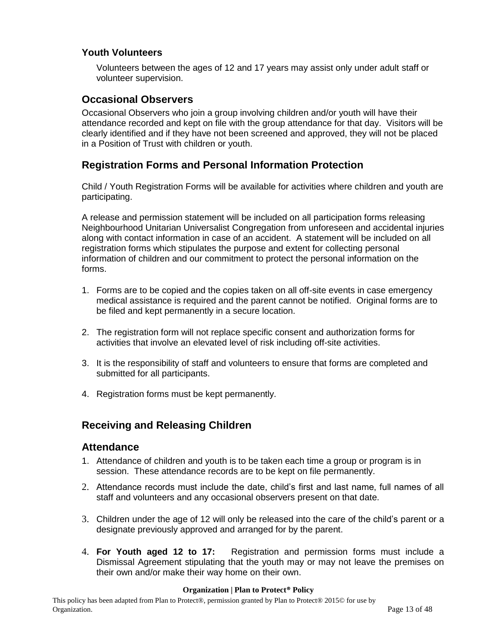### **Youth Volunteers**

Volunteers between the ages of 12 and 17 years may assist only under adult staff or volunteer supervision.

### <span id="page-12-0"></span>**Occasional Observers**

Occasional Observers who join a group involving children and/or youth will have their attendance recorded and kept on file with the group attendance for that day. Visitors will be clearly identified and if they have not been screened and approved, they will not be placed in a Position of Trust with children or youth.

# <span id="page-12-1"></span>**Registration Forms and Personal Information Protection**

Child / Youth Registration Forms will be available for activities where children and youth are participating.

A release and permission statement will be included on all participation forms releasing Neighbourhood Unitarian Universalist Congregation from unforeseen and accidental injuries along with contact information in case of an accident. A statement will be included on all registration forms which stipulates the purpose and extent for collecting personal information of children and our commitment to protect the personal information on the forms.

- 1. Forms are to be copied and the copies taken on all off-site events in case emergency medical assistance is required and the parent cannot be notified. Original forms are to be filed and kept permanently in a secure location.
- 2. The registration form will not replace specific consent and authorization forms for activities that involve an elevated level of risk including off-site activities.
- 3. It is the responsibility of staff and volunteers to ensure that forms are completed and submitted for all participants.
- <span id="page-12-2"></span>4. Registration forms must be kept permanently.

# **Receiving and Releasing Children**

### **Attendance**

- 1. Attendance of children and youth is to be taken each time a group or program is in session. These attendance records are to be kept on file permanently.
- 2. Attendance records must include the date, child's first and last name, full names of all staff and volunteers and any occasional observers present on that date.
- 3. Children under the age of 12 will only be released into the care of the child's parent or a designate previously approved and arranged for by the parent.
- 4. **For Youth aged 12 to 17:** Registration and permission forms must include a Dismissal Agreement stipulating that the youth may or may not leave the premises on their own and/or make their way home on their own.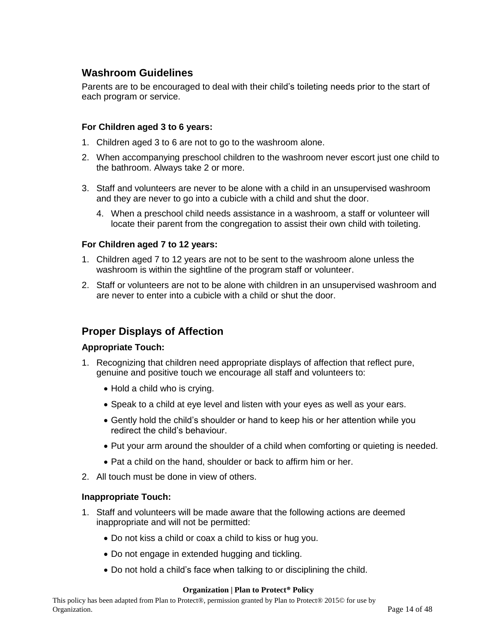# <span id="page-13-0"></span>**Washroom Guidelines**

Parents are to be encouraged to deal with their child's toileting needs prior to the start of each program or service.

#### **For Children aged 3 to 6 years:**

- 1. Children aged 3 to 6 are not to go to the washroom alone.
- 2. When accompanying preschool children to the washroom never escort just one child to the bathroom. Always take 2 or more.
- 3. Staff and volunteers are never to be alone with a child in an unsupervised washroom and they are never to go into a cubicle with a child and shut the door.
	- 4. When a preschool child needs assistance in a washroom, a staff or volunteer will locate their parent from the congregation to assist their own child with toileting.

#### **For Children aged 7 to 12 years:**

- 1. Children aged 7 to 12 years are not to be sent to the washroom alone unless the washroom is within the sightline of the program staff or volunteer.
- <span id="page-13-1"></span>2. Staff or volunteers are not to be alone with children in an unsupervised washroom and are never to enter into a cubicle with a child or shut the door.

# **Proper Displays of Affection**

#### **Appropriate Touch:**

- 1. Recognizing that children need appropriate displays of affection that reflect pure, genuine and positive touch we encourage all staff and volunteers to:
	- Hold a child who is crying.
	- Speak to a child at eye level and listen with your eyes as well as your ears.
	- Gently hold the child's shoulder or hand to keep his or her attention while you redirect the child's behaviour.
	- Put your arm around the shoulder of a child when comforting or quieting is needed.
	- Pat a child on the hand, shoulder or back to affirm him or her.
- 2. All touch must be done in view of others.

#### **Inappropriate Touch:**

- 1. Staff and volunteers will be made aware that the following actions are deemed inappropriate and will not be permitted:
	- Do not kiss a child or coax a child to kiss or hug you.
	- Do not engage in extended hugging and tickling.
	- Do not hold a child's face when talking to or disciplining the child.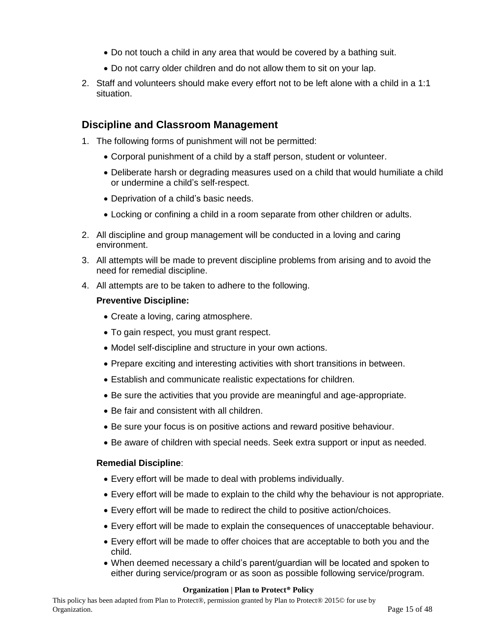- Do not touch a child in any area that would be covered by a bathing suit.
- Do not carry older children and do not allow them to sit on your lap.
- 2. Staff and volunteers should make every effort not to be left alone with a child in a 1:1 situation.

### <span id="page-14-0"></span>**Discipline and Classroom Management**

- 1. The following forms of punishment will not be permitted:
	- Corporal punishment of a child by a staff person, student or volunteer.
	- Deliberate harsh or degrading measures used on a child that would humiliate a child or undermine a child's self-respect.
	- Deprivation of a child's basic needs.
	- Locking or confining a child in a room separate from other children or adults.
- 2. All discipline and group management will be conducted in a loving and caring environment.
- 3. All attempts will be made to prevent discipline problems from arising and to avoid the need for remedial discipline.
- 4. All attempts are to be taken to adhere to the following.

#### **Preventive Discipline:**

- Create a loving, caring atmosphere.
- To gain respect, you must grant respect.
- Model self-discipline and structure in your own actions.
- Prepare exciting and interesting activities with short transitions in between.
- Establish and communicate realistic expectations for children.
- Be sure the activities that you provide are meaningful and age-appropriate.
- Be fair and consistent with all children.
- Be sure your focus is on positive actions and reward positive behaviour.
- Be aware of children with special needs. Seek extra support or input as needed.

#### **Remedial Discipline**:

- Every effort will be made to deal with problems individually.
- Every effort will be made to explain to the child why the behaviour is not appropriate.
- Every effort will be made to redirect the child to positive action/choices.
- Every effort will be made to explain the consequences of unacceptable behaviour.
- Every effort will be made to offer choices that are acceptable to both you and the child.
- When deemed necessary a child's parent/guardian will be located and spoken to either during service/program or as soon as possible following service/program.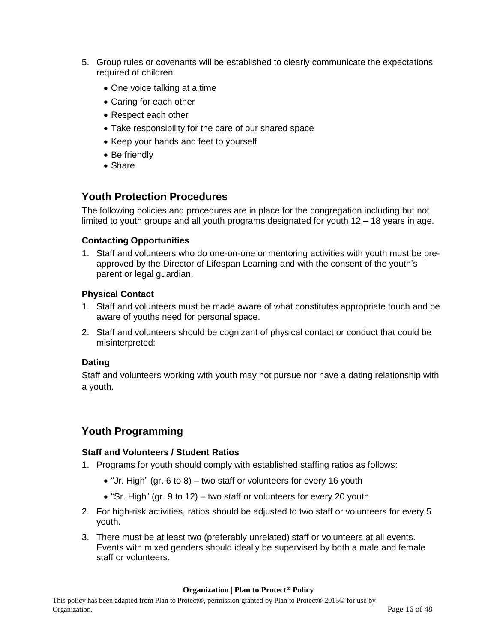- 5. Group rules or covenants will be established to clearly communicate the expectations required of children.
	- One voice talking at a time
	- Caring for each other
	- Respect each other
	- Take responsibility for the care of our shared space
	- Keep your hands and feet to yourself
	- Be friendly
	- Share

# <span id="page-15-0"></span>**Youth Protection Procedures**

The following policies and procedures are in place for the congregation including but not limited to youth groups and all youth programs designated for youth 12 – 18 years in age.

#### <span id="page-15-1"></span>**Contacting Opportunities**

1. Staff and volunteers who do one-on-one or mentoring activities with youth must be preapproved by the Director of Lifespan Learning and with the consent of the youth's parent or legal guardian.

#### <span id="page-15-2"></span>**Physical Contact**

- 1. Staff and volunteers must be made aware of what constitutes appropriate touch and be aware of youths need for personal space.
- 2. Staff and volunteers should be cognizant of physical contact or conduct that could be misinterpreted:

#### <span id="page-15-3"></span>**Dating**

<span id="page-15-4"></span>Staff and volunteers working with youth may not pursue nor have a dating relationship with a youth.

# **Youth Programming**

#### <span id="page-15-5"></span>**Staff and Volunteers / Student Ratios**

- 1. Programs for youth should comply with established staffing ratios as follows:
	- "Jr. High" (gr. 6 to 8) two staff or volunteers for every 16 youth
	- "Sr. High" (gr. 9 to 12) two staff or volunteers for every 20 youth
- 2. For high-risk activities, ratios should be adjusted to two staff or volunteers for every 5 youth.
- 3. There must be at least two (preferably unrelated) staff or volunteers at all events. Events with mixed genders should ideally be supervised by both a male and female staff or volunteers.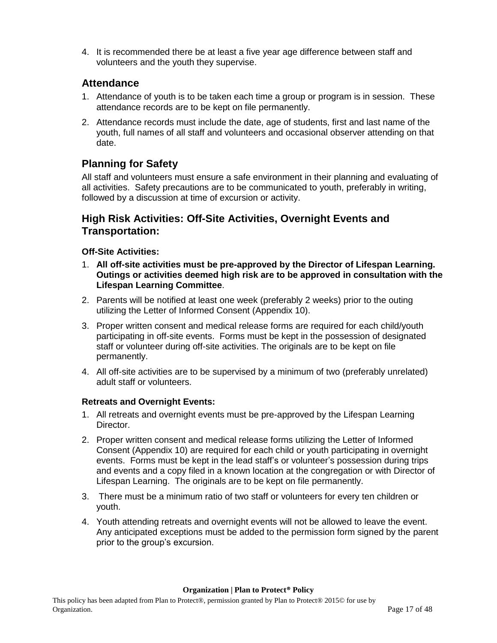4. It is recommended there be at least a five year age difference between staff and volunteers and the youth they supervise.

# <span id="page-16-0"></span>**Attendance**

- 1. Attendance of youth is to be taken each time a group or program is in session. These attendance records are to be kept on file permanently.
- 2. Attendance records must include the date, age of students, first and last name of the youth, full names of all staff and volunteers and occasional observer attending on that date.

# <span id="page-16-1"></span>**Planning for Safety**

All staff and volunteers must ensure a safe environment in their planning and evaluating of all activities. Safety precautions are to be communicated to youth, preferably in writing, followed by a discussion at time of excursion or activity.

# <span id="page-16-2"></span>**High Risk Activities: Off-Site Activities, Overnight Events and Transportation:**

### <span id="page-16-3"></span>**Off-Site Activities:**

- 1. **All off-site activities must be pre-approved by the Director of Lifespan Learning. Outings or activities deemed high risk are to be approved in consultation with the Lifespan Learning Committee**.
- 2. Parents will be notified at least one week (preferably 2 weeks) prior to the outing utilizing the Letter of Informed Consent (Appendix 10).
- 3. Proper written consent and medical release forms are required for each child/youth participating in off-site events. Forms must be kept in the possession of designated staff or volunteer during off-site activities. The originals are to be kept on file permanently.
- 4. All off-site activities are to be supervised by a minimum of two (preferably unrelated) adult staff or volunteers.

### <span id="page-16-4"></span>**Retreats and Overnight Events:**

- 1. All retreats and overnight events must be pre-approved by the Lifespan Learning Director.
- 2. Proper written consent and medical release forms utilizing the Letter of Informed Consent (Appendix 10) are required for each child or youth participating in overnight events. Forms must be kept in the lead staff's or volunteer's possession during trips and events and a copy filed in a known location at the congregation or with Director of Lifespan Learning. The originals are to be kept on file permanently.
- 3. There must be a minimum ratio of two staff or volunteers for every ten children or youth.
- <span id="page-16-5"></span>4. Youth attending retreats and overnight events will not be allowed to leave the event. Any anticipated exceptions must be added to the permission form signed by the parent prior to the group's excursion.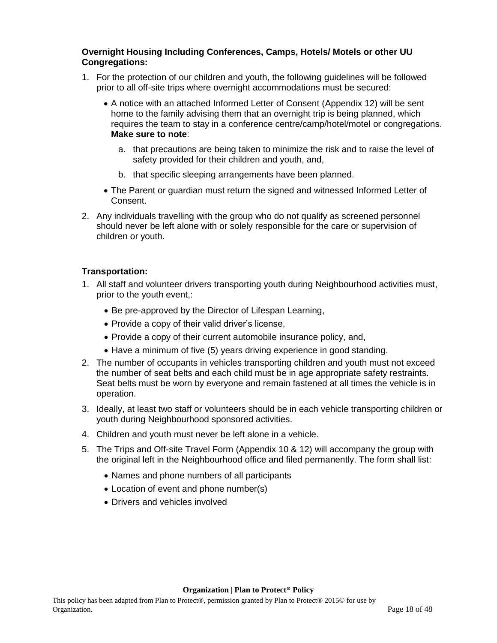#### **Overnight Housing Including Conferences, Camps, Hotels/ Motels or other UU Congregations:**

- 1. For the protection of our children and youth, the following guidelines will be followed prior to all off-site trips where overnight accommodations must be secured:
	- A notice with an attached Informed Letter of Consent (Appendix 12) will be sent home to the family advising them that an overnight trip is being planned, which requires the team to stay in a conference centre/camp/hotel/motel or congregations. **Make sure to note**:
		- a. that precautions are being taken to minimize the risk and to raise the level of safety provided for their children and youth, and,
		- b. that specific sleeping arrangements have been planned.
	- The Parent or guardian must return the signed and witnessed Informed Letter of Consent.
- 2. Any individuals travelling with the group who do not qualify as screened personnel should never be left alone with or solely responsible for the care or supervision of children or youth.

#### <span id="page-17-0"></span>**Transportation:**

- 1. All staff and volunteer drivers transporting youth during Neighbourhood activities must, prior to the youth event,:
	- Be pre-approved by the Director of Lifespan Learning,
	- Provide a copy of their valid driver's license,
	- Provide a copy of their current automobile insurance policy, and,
	- Have a minimum of five (5) years driving experience in good standing.
- 2. The number of occupants in vehicles transporting children and youth must not exceed the number of seat belts and each child must be in age appropriate safety restraints. Seat belts must be worn by everyone and remain fastened at all times the vehicle is in operation.
- 3. Ideally, at least two staff or volunteers should be in each vehicle transporting children or youth during Neighbourhood sponsored activities.
- 4. Children and youth must never be left alone in a vehicle.
- 5. The Trips and Off-site Travel Form (Appendix 10 & 12) will accompany the group with the original left in the Neighbourhood office and filed permanently. The form shall list:
	- Names and phone numbers of all participants
	- Location of event and phone number(s)
	- Drivers and vehicles involved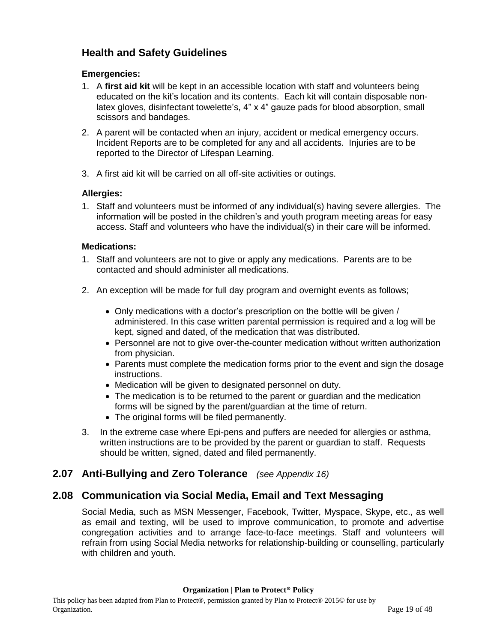# <span id="page-18-0"></span>**Health and Safety Guidelines**

#### <span id="page-18-1"></span>**Emergencies:**

- 1. A **first aid kit** will be kept in an accessible location with staff and volunteers being educated on the kit's location and its contents. Each kit will contain disposable nonlatex gloves, disinfectant towelette's, 4" x 4" gauze pads for blood absorption, small scissors and bandages.
- 2. A parent will be contacted when an injury, accident or medical emergency occurs. Incident Reports are to be completed for any and all accidents. Injuries are to be reported to the Director of Lifespan Learning.
- 3. A first aid kit will be carried on all off-site activities or outings.

#### **Allergies:**

1. Staff and volunteers must be informed of any individual(s) having severe allergies. The information will be posted in the children's and youth program meeting areas for easy access. Staff and volunteers who have the individual(s) in their care will be informed.

#### <span id="page-18-2"></span>**Medications:**

- 1. Staff and volunteers are not to give or apply any medications. Parents are to be contacted and should administer all medications.
- 2. An exception will be made for full day program and overnight events as follows;
	- Only medications with a doctor's prescription on the bottle will be given / administered. In this case written parental permission is required and a log will be kept, signed and dated, of the medication that was distributed.
	- Personnel are not to give over-the-counter medication without written authorization from physician.
	- Parents must complete the medication forms prior to the event and sign the dosage instructions.
	- Medication will be given to designated personnel on duty.
	- The medication is to be returned to the parent or quardian and the medication forms will be signed by the parent/guardian at the time of return.
	- The original forms will be filed permanently.
- 3. In the extreme case where Epi-pens and puffers are needed for allergies or asthma, written instructions are to be provided by the parent or guardian to staff. Requests should be written, signed, dated and filed permanently.

# <span id="page-18-3"></span>**2.07 Anti-Bullying and Zero Tolerance** *(see Appendix 16)*

# <span id="page-18-4"></span>**2.08 Communication via Social Media, Email and Text Messaging**

Social Media, such as MSN Messenger, Facebook, Twitter, Myspace, Skype, etc., as well as email and texting, will be used to improve communication, to promote and advertise congregation activities and to arrange face-to-face meetings. Staff and volunteers will refrain from using Social Media networks for relationship-building or counselling, particularly with children and youth.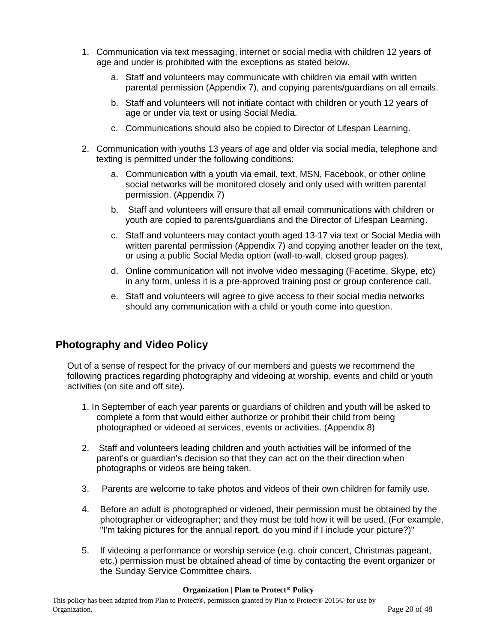- 1. Communication via text messaging, internet or social media with children 12 years of age and under is prohibited with the exceptions as stated below.
	- a. Staff and volunteers may communicate with children via email with written parental permission (Appendix 7), and copying parents/guardians on all emails.
	- b. Staff and volunteers will not initiate contact with children or youth 12 years of age or under via text or using Social Media.
	- c. Communications should also be copied to Director of Lifespan Learning.
- 2. Communication with youths 13 years of age and older via social media, telephone and texting is permitted under the following conditions:
	- a. Communication with a youth via email, text, MSN, Facebook, or other online social networks will be monitored closely and only used with written parental permission. (Appendix 7)
	- b. Staff and volunteers will ensure that all email communications with children or youth are copied to parents/guardians and the Director of Lifespan Learning.
	- c. Staff and volunteers may contact youth aged 13-17 via text or Social Media with written parental permission (Appendix 7) and copying another leader on the text, or using a public Social Media option (wall-to-wall, closed group pages).
	- d. Online communication will not involve video messaging (Facetime, Skype, etc) in any form, unless it is a pre-approved training post or group conference call.
	- e. Staff and volunteers will agree to give access to their social media networks should any communication with a child or youth come into question.

# **Photography and Video Policy**

Out of a sense of respect for the privacy of our members and guests we recommend the following practices regarding photography and videoing at worship, events and child or youth activities (on site and off site).

- 1. In September of each year parents or guardians of children and youth will be asked to complete a form that would either authorize or prohibit their child from being photographed or videoed at services, events or activities. (Appendix 8)
- 2. Staff and volunteers leading children and youth activities will be informed of the parent's or guardian's decision so that they can act on the their direction when photographs or videos are being taken.
- 3. Parents are welcome to take photos and videos of their own children for family use.
- 4. Before an adult is photographed or videoed, their permission must be obtained by the photographer or videographer; and they must be told how it will be used. (For example, "I'm taking pictures for the annual report, do you mind if I include your picture?)"
- 5. If videoing a performance or worship service (e.g. choir concert, Christmas pageant, etc.) permission must be obtained ahead of time by contacting the event organizer or the Sunday Service Committee chairs.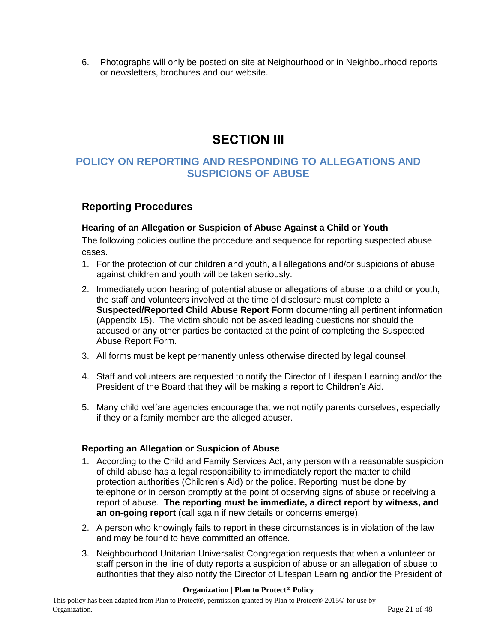<span id="page-20-0"></span>6. Photographs will only be posted on site at Neighourhood or in Neighbourhood reports or newsletters, brochures and our website.

# **SECTION III**

# <span id="page-20-1"></span>**POLICY ON REPORTING AND RESPONDING TO ALLEGATIONS AND SUSPICIONS OF ABUSE**

# <span id="page-20-2"></span>**Reporting Procedures**

#### <span id="page-20-3"></span>**Hearing of an Allegation or Suspicion of Abuse Against a Child or Youth**

The following policies outline the procedure and sequence for reporting suspected abuse cases.

- 1. For the protection of our children and youth, all allegations and/or suspicions of abuse against children and youth will be taken seriously.
- 2. Immediately upon hearing of potential abuse or allegations of abuse to a child or youth, the staff and volunteers involved at the time of disclosure must complete a **Suspected/Reported Child Abuse Report Form** documenting all pertinent information (Appendix 15). The victim should not be asked leading questions nor should the accused or any other parties be contacted at the point of completing the Suspected Abuse Report Form.
- 3. All forms must be kept permanently unless otherwise directed by legal counsel.
- 4. Staff and volunteers are requested to notify the Director of Lifespan Learning and/or the President of the Board that they will be making a report to Children's Aid.
- 5. Many child welfare agencies encourage that we not notify parents ourselves, especially if they or a family member are the alleged abuser.

#### <span id="page-20-4"></span>**Reporting an Allegation or Suspicion of Abuse**

- 1. According to the Child and Family Services Act, any person with a reasonable suspicion of child abuse has a legal responsibility to immediately report the matter to child protection authorities (Children's Aid) or the police. Reporting must be done by telephone or in person promptly at the point of observing signs of abuse or receiving a report of abuse. **The reporting must be immediate, a direct report by witness, and an on-going report** (call again if new details or concerns emerge).
- 2. A person who knowingly fails to report in these circumstances is in violation of the law and may be found to have committed an offence.
- 3. Neighbourhood Unitarian Universalist Congregation requests that when a volunteer or staff person in the line of duty reports a suspicion of abuse or an allegation of abuse to authorities that they also notify the Director of Lifespan Learning and/or the President of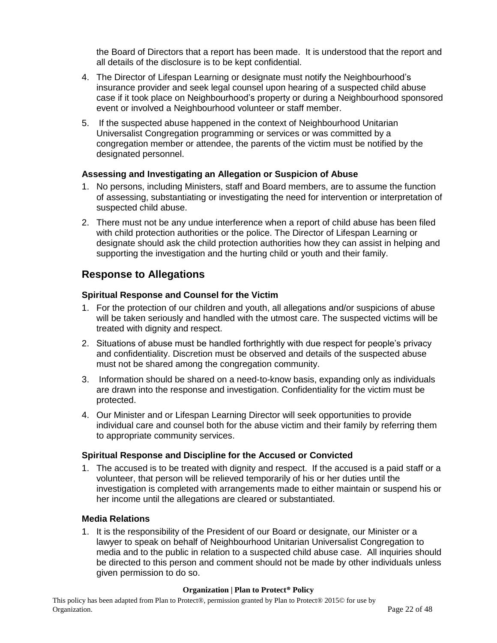the Board of Directors that a report has been made. It is understood that the report and all details of the disclosure is to be kept confidential.

- 4. The Director of Lifespan Learning or designate must notify the Neighbourhood's insurance provider and seek legal counsel upon hearing of a suspected child abuse case if it took place on Neighbourhood's property or during a Neighbourhood sponsored event or involved a Neighbourhood volunteer or staff member.
- 5. If the suspected abuse happened in the context of Neighbourhood Unitarian Universalist Congregation programming or services or was committed by a congregation member or attendee, the parents of the victim must be notified by the designated personnel.

#### <span id="page-21-0"></span>**Assessing and Investigating an Allegation or Suspicion of Abuse**

- 1. No persons, including Ministers, staff and Board members, are to assume the function of assessing, substantiating or investigating the need for intervention or interpretation of suspected child abuse.
- 2. There must not be any undue interference when a report of child abuse has been filed with child protection authorities or the police. The Director of Lifespan Learning or designate should ask the child protection authorities how they can assist in helping and supporting the investigation and the hurting child or youth and their family.

### <span id="page-21-1"></span>**Response to Allegations**

#### <span id="page-21-2"></span>**Spiritual Response and Counsel for the Victim**

- 1. For the protection of our children and youth, all allegations and/or suspicions of abuse will be taken seriously and handled with the utmost care. The suspected victims will be treated with dignity and respect.
- 2. Situations of abuse must be handled forthrightly with due respect for people's privacy and confidentiality. Discretion must be observed and details of the suspected abuse must not be shared among the congregation community.
- 3. Information should be shared on a need-to-know basis, expanding only as individuals are drawn into the response and investigation. Confidentiality for the victim must be protected.
- 4. Our Minister and or Lifespan Learning Director will seek opportunities to provide individual care and counsel both for the abuse victim and their family by referring them to appropriate community services.

#### **Spiritual Response and Discipline for the Accused or Convicted**

1. The accused is to be treated with dignity and respect. If the accused is a paid staff or a volunteer, that person will be relieved temporarily of his or her duties until the investigation is completed with arrangements made to either maintain or suspend his or her income until the allegations are cleared or substantiated.

#### <span id="page-21-3"></span>**Media Relations**

1. It is the responsibility of the President of our Board or designate, our Minister or a lawyer to speak on behalf of Neighbourhood Unitarian Universalist Congregation to media and to the public in relation to a suspected child abuse case. All inquiries should be directed to this person and comment should not be made by other individuals unless given permission to do so.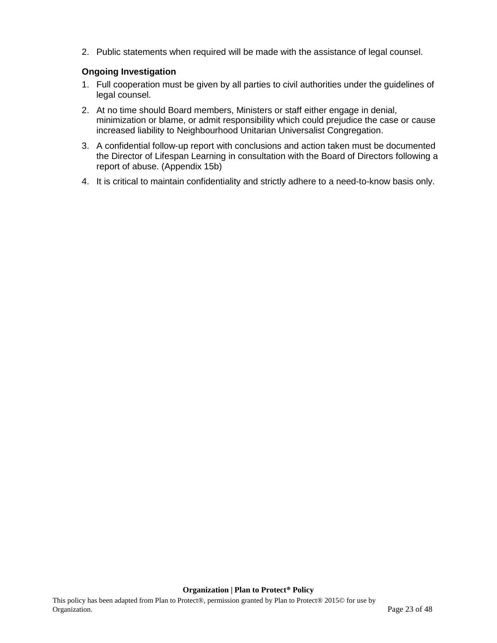2. Public statements when required will be made with the assistance of legal counsel.

#### <span id="page-22-0"></span>**Ongoing Investigation**

- 1. Full cooperation must be given by all parties to civil authorities under the guidelines of legal counsel.
- 2. At no time should Board members, Ministers or staff either engage in denial, minimization or blame, or admit responsibility which could prejudice the case or cause increased liability to Neighbourhood Unitarian Universalist Congregation.
- 3. A confidential follow-up report with conclusions and action taken must be documented the Director of Lifespan Learning in consultation with the Board of Directors following a report of abuse. (Appendix 15b)
- 4. It is critical to maintain confidentiality and strictly adhere to a need-to-know basis only.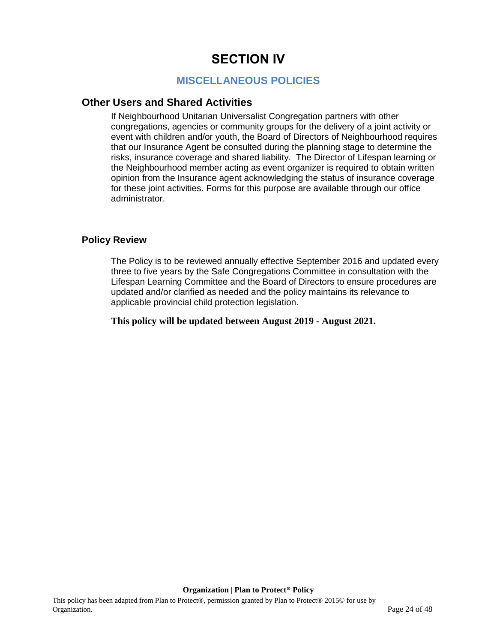# **SECTION IV**

# **MISCELLANEOUS POLICIES**

### <span id="page-23-2"></span><span id="page-23-1"></span><span id="page-23-0"></span>**Other Users and Shared Activities**

If Neighbourhood Unitarian Universalist Congregation partners with other congregations, agencies or community groups for the delivery of a joint activity or event with children and/or youth, the Board of Directors of Neighbourhood requires that our Insurance Agent be consulted during the planning stage to determine the risks, insurance coverage and shared liability. The Director of Lifespan learning or the Neighbourhood member acting as event organizer is required to obtain written opinion from the Insurance agent acknowledging the status of insurance coverage for these joint activities. Forms for this purpose are available through our office administrator.

### <span id="page-23-3"></span>**Policy Review**

The Policy is to be reviewed annually effective September 2016 and updated every three to five years by the Safe Congregations Committee in consultation with the Lifespan Learning Committee and the Board of Directors to ensure procedures are updated and/or clarified as needed and the policy maintains its relevance to applicable provincial child protection legislation.

**This policy will be updated between August 2019 - August 2021.**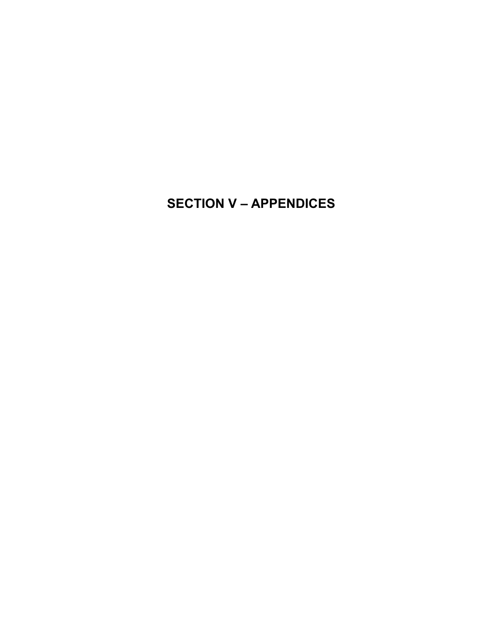# <span id="page-24-0"></span>**SECTION V – APPENDICES**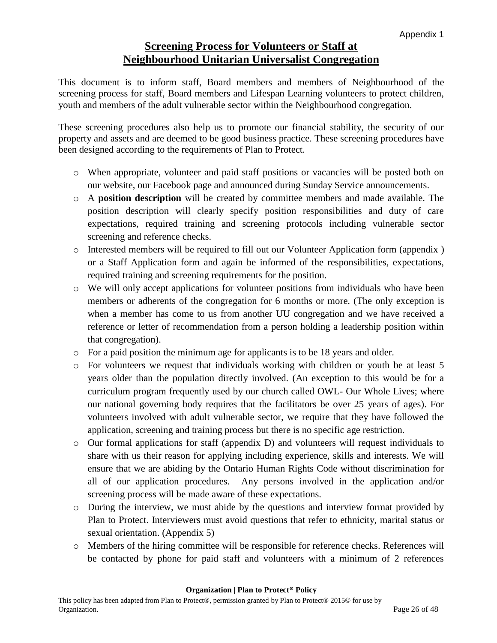# **Screening Process for Volunteers or Staff at Neighbourhood Unitarian Universalist Congregation**

<span id="page-25-0"></span>This document is to inform staff, Board members and members of Neighbourhood of the screening process for staff, Board members and Lifespan Learning volunteers to protect children, youth and members of the adult vulnerable sector within the Neighbourhood congregation.

These screening procedures also help us to promote our financial stability, the security of our property and assets and are deemed to be good business practice. These screening procedures have been designed according to the requirements of Plan to Protect.

- o When appropriate, volunteer and paid staff positions or vacancies will be posted both on our website, our Facebook page and announced during Sunday Service announcements.
- o A **position description** will be created by committee members and made available. The position description will clearly specify position responsibilities and duty of care expectations, required training and screening protocols including vulnerable sector screening and reference checks.
- o Interested members will be required to fill out our Volunteer Application form (appendix ) or a Staff Application form and again be informed of the responsibilities, expectations, required training and screening requirements for the position.
- o We will only accept applications for volunteer positions from individuals who have been members or adherents of the congregation for 6 months or more. (The only exception is when a member has come to us from another UU congregation and we have received a reference or letter of recommendation from a person holding a leadership position within that congregation).
- o For a paid position the minimum age for applicants is to be 18 years and older.
- o For volunteers we request that individuals working with children or youth be at least 5 years older than the population directly involved. (An exception to this would be for a curriculum program frequently used by our church called OWL- Our Whole Lives; where our national governing body requires that the facilitators be over 25 years of ages). For volunteers involved with adult vulnerable sector, we require that they have followed the application, screening and training process but there is no specific age restriction.
- o Our formal applications for staff (appendix D) and volunteers will request individuals to share with us their reason for applying including experience, skills and interests. We will ensure that we are abiding by the Ontario Human Rights Code without discrimination for all of our application procedures. Any persons involved in the application and/or screening process will be made aware of these expectations.
- o During the interview, we must abide by the questions and interview format provided by Plan to Protect. Interviewers must avoid questions that refer to ethnicity, marital status or sexual orientation. (Appendix 5)
- o Members of the hiring committee will be responsible for reference checks. References will be contacted by phone for paid staff and volunteers with a minimum of 2 references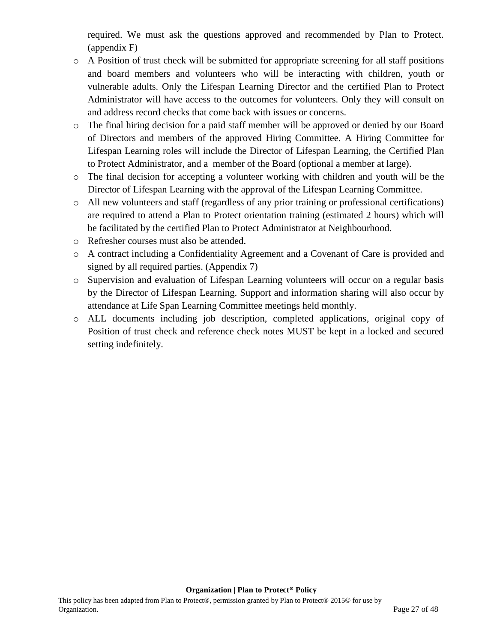required. We must ask the questions approved and recommended by Plan to Protect. (appendix F)

- o A Position of trust check will be submitted for appropriate screening for all staff positions and board members and volunteers who will be interacting with children, youth or vulnerable adults. Only the Lifespan Learning Director and the certified Plan to Protect Administrator will have access to the outcomes for volunteers. Only they will consult on and address record checks that come back with issues or concerns.
- o The final hiring decision for a paid staff member will be approved or denied by our Board of Directors and members of the approved Hiring Committee. A Hiring Committee for Lifespan Learning roles will include the Director of Lifespan Learning, the Certified Plan to Protect Administrator, and a member of the Board (optional a member at large).
- o The final decision for accepting a volunteer working with children and youth will be the Director of Lifespan Learning with the approval of the Lifespan Learning Committee.
- o All new volunteers and staff (regardless of any prior training or professional certifications) are required to attend a Plan to Protect orientation training (estimated 2 hours) which will be facilitated by the certified Plan to Protect Administrator at Neighbourhood.
- o Refresher courses must also be attended.
- o A contract including a Confidentiality Agreement and a Covenant of Care is provided and signed by all required parties. (Appendix 7)
- o Supervision and evaluation of Lifespan Learning volunteers will occur on a regular basis by the Director of Lifespan Learning. Support and information sharing will also occur by attendance at Life Span Learning Committee meetings held monthly.
- o ALL documents including job description, completed applications, original copy of Position of trust check and reference check notes MUST be kept in a locked and secured setting indefinitely.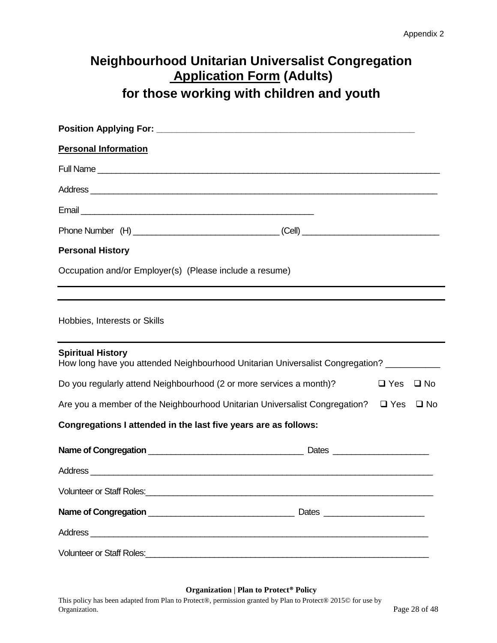# <span id="page-27-0"></span>**Neighbourhood Unitarian Universalist Congregation Application Form (Adults) for those working with children and youth**

| <b>Personal Information</b>                                                                                                                                                                                                          |            |              |
|--------------------------------------------------------------------------------------------------------------------------------------------------------------------------------------------------------------------------------------|------------|--------------|
|                                                                                                                                                                                                                                      |            |              |
| Address experience and the contract of the contract of the contract of the contract of the contract of the contract of the contract of the contract of the contract of the contract of the contract of the contract of the con       |            |              |
|                                                                                                                                                                                                                                      |            |              |
|                                                                                                                                                                                                                                      |            |              |
| <b>Personal History</b>                                                                                                                                                                                                              |            |              |
| Occupation and/or Employer(s) (Please include a resume)                                                                                                                                                                              |            |              |
| Hobbies, Interests or Skills                                                                                                                                                                                                         |            |              |
| <b>Spiritual History</b><br>How long have you attended Neighbourhood Unitarian Universalist Congregation? __________                                                                                                                 |            |              |
| Do you regularly attend Neighbourhood (2 or more services a month)?                                                                                                                                                                  | $\Box$ Yes | $\square$ No |
| Are you a member of the Neighbourhood Unitarian Universalist Congregation? □ Yes □ No                                                                                                                                                |            |              |
| Congregations I attended in the last five years are as follows:                                                                                                                                                                      |            |              |
|                                                                                                                                                                                                                                      |            |              |
|                                                                                                                                                                                                                                      |            |              |
| Volunteer or Staff Roles: <u>Chamber and Chamber and Chamber and Chamber and Chamber and Chamber and Chamber and Chamber and Chamber and Chamber and Chamber and Chamber and Chamber and Chamber and Chamber and Chamber and Cha</u> |            |              |
|                                                                                                                                                                                                                                      |            |              |
| Address                                                                                                                                                                                                                              |            |              |
|                                                                                                                                                                                                                                      |            |              |

#### **Organization | Plan to Protect® Policy**

This policy has been adapted from Plan to Protect®, permission granted by Plan to Protect® 2015© for use by Organization. Page 28 of 48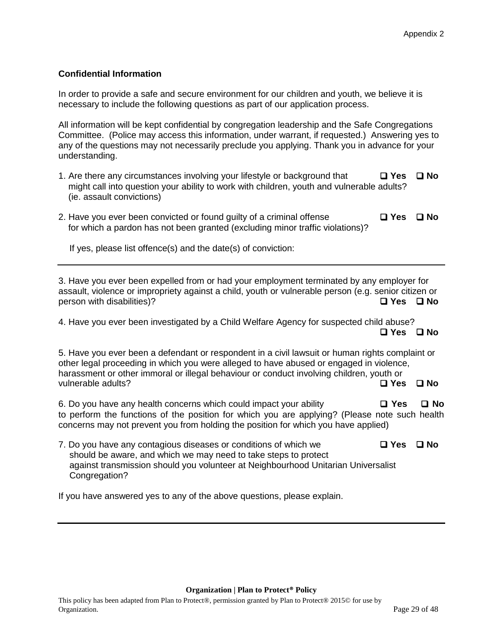#### **Confidential Information**

In order to provide a safe and secure environment for our children and youth, we believe it is necessary to include the following questions as part of our application process.

All information will be kept confidential by congregation leadership and the Safe Congregations Committee. (Police may access this information, under warrant, if requested.) Answering yes to any of the questions may not necessarily preclude you applying. Thank you in advance for your understanding.

- 1. Are there any circumstances involving your lifestyle or background that **Yes No** might call into question your ability to work with children, youth and vulnerable adults? (ie. assault convictions)
- 2. Have you ever been convicted or found guilty of a criminal offense **Yes No** for which a pardon has not been granted (excluding minor traffic violations)?

If yes, please list offence(s) and the date(s) of conviction:

3. Have you ever been expelled from or had your employment terminated by any employer for assault, violence or impropriety against a child, youth or vulnerable person (e.g. senior citizen or person with disabilities)? **Yes No**

4. Have you ever been investigated by a Child Welfare Agency for suspected child abuse? **Yes No**

5. Have you ever been a defendant or respondent in a civil lawsuit or human rights complaint or other legal proceeding in which you were alleged to have abused or engaged in violence, harassment or other immoral or illegal behaviour or conduct involving children, youth or vulnerable adults? **Yes No**

6. Do you have any health concerns which could impact your ability **Yes No** to perform the functions of the position for which you are applying? (Please note such health concerns may not prevent you from holding the position for which you have applied)

7. Do you have any contagious diseases or conditions of which we **D** Yes **D** No should be aware, and which we may need to take steps to protect against transmission should you volunteer at Neighbourhood Unitarian Universalist Congregation?

If you have answered yes to any of the above questions, please explain.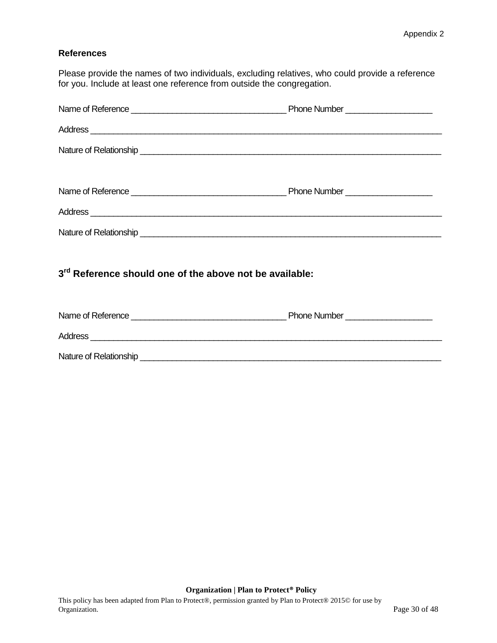#### **References**

Please provide the names of two individuals, excluding relatives, who could provide a reference for you. Include at least one reference from outside the congregation.

| Address                                                             |  |  |  |
|---------------------------------------------------------------------|--|--|--|
|                                                                     |  |  |  |
| 3 <sup>rd</sup> Reference should one of the above not be available: |  |  |  |
|                                                                     |  |  |  |
| Address                                                             |  |  |  |
|                                                                     |  |  |  |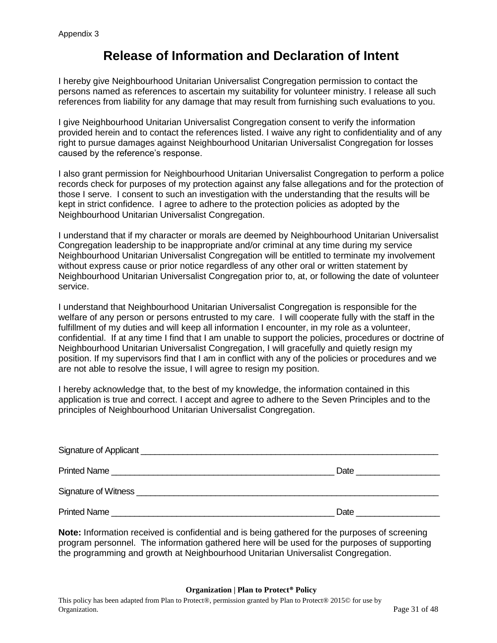# **Release of Information and Declaration of Intent**

<span id="page-30-0"></span>I hereby give Neighbourhood Unitarian Universalist Congregation permission to contact the persons named as references to ascertain my suitability for volunteer ministry. I release all such references from liability for any damage that may result from furnishing such evaluations to you.

I give Neighbourhood Unitarian Universalist Congregation consent to verify the information provided herein and to contact the references listed. I waive any right to confidentiality and of any right to pursue damages against Neighbourhood Unitarian Universalist Congregation for losses caused by the reference's response.

I also grant permission for Neighbourhood Unitarian Universalist Congregation to perform a police records check for purposes of my protection against any false allegations and for the protection of those I serve. I consent to such an investigation with the understanding that the results will be kept in strict confidence. I agree to adhere to the protection policies as adopted by the Neighbourhood Unitarian Universalist Congregation.

I understand that if my character or morals are deemed by Neighbourhood Unitarian Universalist Congregation leadership to be inappropriate and/or criminal at any time during my service Neighbourhood Unitarian Universalist Congregation will be entitled to terminate my involvement without express cause or prior notice regardless of any other oral or written statement by Neighbourhood Unitarian Universalist Congregation prior to, at, or following the date of volunteer service.

I understand that Neighbourhood Unitarian Universalist Congregation is responsible for the welfare of any person or persons entrusted to my care. I will cooperate fully with the staff in the fulfillment of my duties and will keep all information I encounter, in my role as a volunteer, confidential. If at any time I find that I am unable to support the policies, procedures or doctrine of Neighbourhood Unitarian Universalist Congregation, I will gracefully and quietly resign my position. If my supervisors find that I am in conflict with any of the policies or procedures and we are not able to resolve the issue, I will agree to resign my position.

I hereby acknowledge that, to the best of my knowledge, the information contained in this application is true and correct. I accept and agree to adhere to the Seven Principles and to the principles of Neighbourhood Unitarian Universalist Congregation.

| Printed Name                                                                                                                                                                                                                       | Date |
|------------------------------------------------------------------------------------------------------------------------------------------------------------------------------------------------------------------------------------|------|
| Signature of Witness <u>Signature</u> of Witness Community and Community and Community and Community and Community and Community and Community and Community and Community and Community and Community and Community and Community |      |
| Printed Name                                                                                                                                                                                                                       | Date |

**Note:** Information received is confidential and is being gathered for the purposes of screening program personnel. The information gathered here will be used for the purposes of supporting the programming and growth at Neighbourhood Unitarian Universalist Congregation.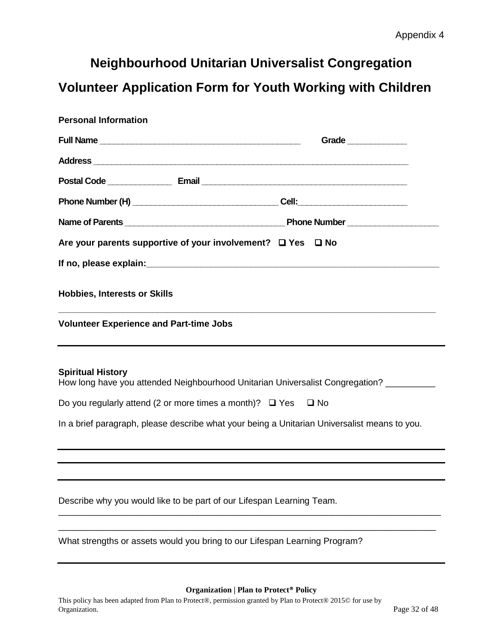# <span id="page-31-1"></span><span id="page-31-0"></span>**Volunteer Application Form for Youth Working with Children**

| <b>Personal Information</b>                                                                  |                                                                                                                                                                                                                                      |  |
|----------------------------------------------------------------------------------------------|--------------------------------------------------------------------------------------------------------------------------------------------------------------------------------------------------------------------------------------|--|
|                                                                                              | Grade ______________                                                                                                                                                                                                                 |  |
|                                                                                              |                                                                                                                                                                                                                                      |  |
|                                                                                              |                                                                                                                                                                                                                                      |  |
|                                                                                              |                                                                                                                                                                                                                                      |  |
|                                                                                              | Name of Parents <b>Commission Contract Contract Contract Contract Contract Contract Contract Contract Contract Contract Contract Contract Contract Contract Contract Contract Contract Contract Contract Contract Contract Contr</b> |  |
|                                                                                              | Are your parents supportive of your involvement? $\Box$ Yes $\Box$ No                                                                                                                                                                |  |
|                                                                                              |                                                                                                                                                                                                                                      |  |
| <b>Hobbies, Interests or Skills</b>                                                          |                                                                                                                                                                                                                                      |  |
| <b>Volunteer Experience and Part-time Jobs</b>                                               |                                                                                                                                                                                                                                      |  |
| <b>Spiritual History</b>                                                                     | How long have you attended Neighbourhood Unitarian Universalist Congregation? _________                                                                                                                                              |  |
|                                                                                              | Do you regularly attend (2 or more times a month)? $\Box$ Yes $\Box$ No                                                                                                                                                              |  |
| In a brief paragraph, please describe what your being a Unitarian Universalist means to you. |                                                                                                                                                                                                                                      |  |
|                                                                                              |                                                                                                                                                                                                                                      |  |
|                                                                                              |                                                                                                                                                                                                                                      |  |
|                                                                                              | Describe why you would like to be part of our Lifespan Learning Team.                                                                                                                                                                |  |
|                                                                                              | What strengths or assets would you bring to our Lifespan Learning Program?                                                                                                                                                           |  |
|                                                                                              |                                                                                                                                                                                                                                      |  |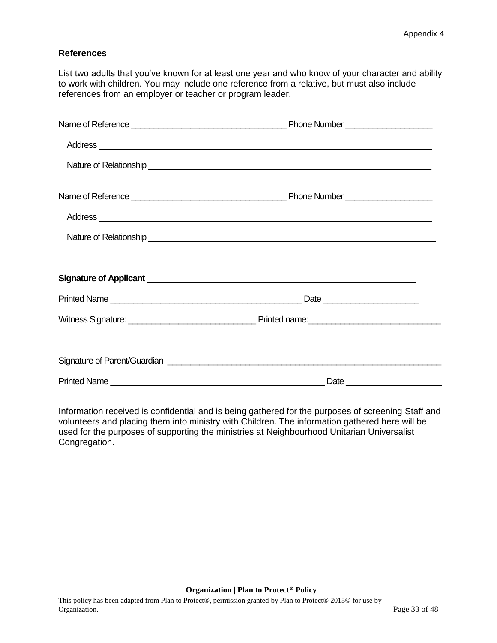#### **References**

List two adults that you've known for at least one year and who know of your character and ability to work with children. You may include one reference from a relative, but must also include references from an employer or teacher or program leader.

| Address |  |
|---------|--|
|         |  |
|         |  |
|         |  |
|         |  |
|         |  |
|         |  |
|         |  |
|         |  |
|         |  |

Information received is confidential and is being gathered for the purposes of screening Staff and volunteers and placing them into ministry with Children. The information gathered here will be used for the purposes of supporting the ministries at Neighbourhood Unitarian Universalist Congregation.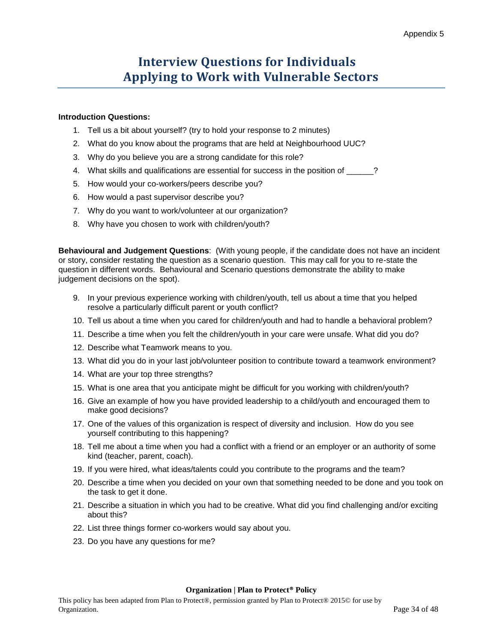# **Interview Questions for Individuals Applying to Work with Vulnerable Sectors**

#### **Introduction Questions:**

- 1. Tell us a bit about yourself? (try to hold your response to 2 minutes)
- 2. What do you know about the programs that are held at Neighbourhood UUC?
- 3. Why do you believe you are a strong candidate for this role?
- 4. What skills and qualifications are essential for success in the position of \_\_\_\_\_\_?
- 5. How would your co-workers/peers describe you?
- 6. How would a past supervisor describe you?
- 7. Why do you want to work/volunteer at our organization?
- 8. Why have you chosen to work with children/youth?

**Behavioural and Judgement Questions**: (With young people, if the candidate does not have an incident or story, consider restating the question as a scenario question. This may call for you to re-state the question in different words. Behavioural and Scenario questions demonstrate the ability to make judgement decisions on the spot).

- 9. In your previous experience working with children/youth, tell us about a time that you helped resolve a particularly difficult parent or youth conflict?
- 10. Tell us about a time when you cared for children/youth and had to handle a behavioral problem?
- 11. Describe a time when you felt the children/youth in your care were unsafe. What did you do?
- 12. Describe what Teamwork means to you.
- 13. What did you do in your last job/volunteer position to contribute toward a teamwork environment?
- 14. What are your top three strengths?
- 15. What is one area that you anticipate might be difficult for you working with children/youth?
- 16. Give an example of how you have provided leadership to a child/youth and encouraged them to make good decisions?
- 17. One of the values of this organization is respect of diversity and inclusion. How do you see yourself contributing to this happening?
- 18. Tell me about a time when you had a conflict with a friend or an employer or an authority of some kind (teacher, parent, coach).
- 19. If you were hired, what ideas/talents could you contribute to the programs and the team?
- 20. Describe a time when you decided on your own that something needed to be done and you took on the task to get it done.
- 21. Describe a situation in which you had to be creative. What did you find challenging and/or exciting about this?
- 22. List three things former co-workers would say about you.
- 23. Do you have any questions for me?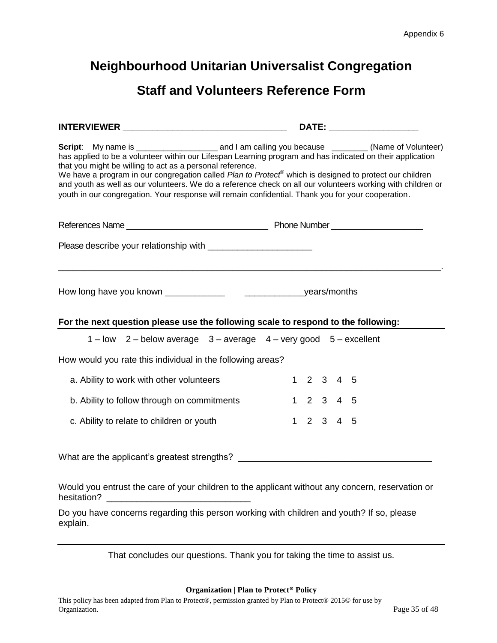# **Staff and Volunteers Reference Form**

<span id="page-34-0"></span>

| has applied to be a volunteer within our Lifespan Learning program and has indicated on their application<br>that you might be willing to act as a personal reference.<br>We have a program in our congregation called Plan to Protect® which is designed to protect our children<br>and youth as well as our volunteers. We do a reference check on all our volunteers working with children or<br>youth in our congregation. Your response will remain confidential. Thank you for your cooperation. |  |                                     |  |  |
|--------------------------------------------------------------------------------------------------------------------------------------------------------------------------------------------------------------------------------------------------------------------------------------------------------------------------------------------------------------------------------------------------------------------------------------------------------------------------------------------------------|--|-------------------------------------|--|--|
|                                                                                                                                                                                                                                                                                                                                                                                                                                                                                                        |  |                                     |  |  |
|                                                                                                                                                                                                                                                                                                                                                                                                                                                                                                        |  |                                     |  |  |
| For the next question please use the following scale to respond to the following:                                                                                                                                                                                                                                                                                                                                                                                                                      |  |                                     |  |  |
| 1-low 2-below average 3-average 4-very good 5-excellent                                                                                                                                                                                                                                                                                                                                                                                                                                                |  |                                     |  |  |
| How would you rate this individual in the following areas?                                                                                                                                                                                                                                                                                                                                                                                                                                             |  |                                     |  |  |
| a. Ability to work with other volunteers                                                                                                                                                                                                                                                                                                                                                                                                                                                               |  | 1 2 3 4 5                           |  |  |
| b. Ability to follow through on commitments                                                                                                                                                                                                                                                                                                                                                                                                                                                            |  | $1 2 3 4 5$                         |  |  |
| c. Ability to relate to children or youth                                                                                                                                                                                                                                                                                                                                                                                                                                                              |  | $1 \quad 2 \quad 3 \quad 4 \quad 5$ |  |  |
| What are the applicant's greatest strengths? ___________________________________                                                                                                                                                                                                                                                                                                                                                                                                                       |  |                                     |  |  |

Would you entrust the care of your children to the applicant without any concern, reservation or hesitation? **with a set of the set of the set of the set of the set of the set of the set of the set of the set of the set of the set of the set of the set of the set of the set of the set of the set of the set of the set** 

Do you have concerns regarding this person working with children and youth? If so, please explain.

That concludes our questions. Thank you for taking the time to assist us.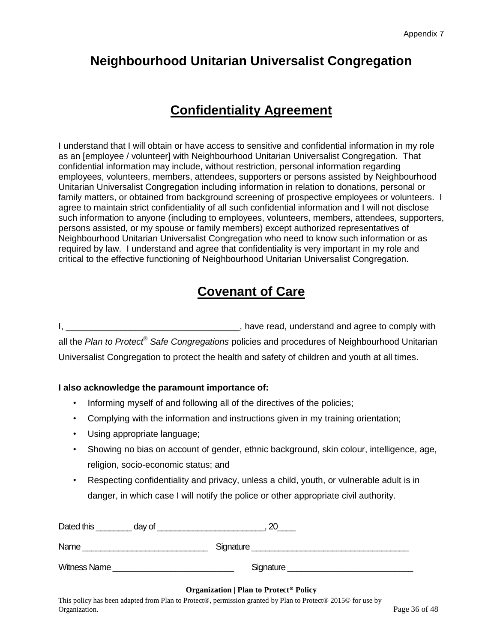# **Confidentiality Agreement**

<span id="page-35-0"></span>I understand that I will obtain or have access to sensitive and confidential information in my role as an [employee / volunteer] with Neighbourhood Unitarian Universalist Congregation. That confidential information may include, without restriction, personal information regarding employees, volunteers, members, attendees, supporters or persons assisted by Neighbourhood Unitarian Universalist Congregation including information in relation to donations, personal or family matters, or obtained from background screening of prospective employees or volunteers. I agree to maintain strict confidentiality of all such confidential information and I will not disclose such information to anyone (including to employees, volunteers, members, attendees, supporters, persons assisted, or my spouse or family members) except authorized representatives of Neighbourhood Unitarian Universalist Congregation who need to know such information or as required by law. I understand and agree that confidentiality is very important in my role and critical to the effective functioning of Neighbourhood Unitarian Universalist Congregation.

# **Covenant of Care**

I, \_\_\_\_\_\_\_\_\_\_\_\_\_\_\_\_\_\_\_\_\_\_\_\_\_\_\_\_\_\_\_\_\_\_\_, have read, understand and agree to comply with all the *Plan to Protect® Safe Congregations* policies and procedures of Neighbourhood Unitarian Universalist Congregation to protect the health and safety of children and youth at all times.

### **I also acknowledge the paramount importance of:**

- Informing myself of and following all of the directives of the policies;
- Complying with the information and instructions given in my training orientation;
- Using appropriate language;
- Showing no bias on account of gender, ethnic background, skin colour, intelligence, age, religion, socio-economic status; and
- Respecting confidentiality and privacy, unless a child, youth, or vulnerable adult is in danger, in which case I will notify the police or other appropriate civil authority.

| Dated this<br>day of | 20        |  |
|----------------------|-----------|--|
| Name                 | Signature |  |
| <b>Witness Name</b>  | Signature |  |

#### **Organization | Plan to Protect® Policy**

This policy has been adapted from Plan to Protect®, permission granted by Plan to Protect® 2015© for use by Organization. Page 36 of 48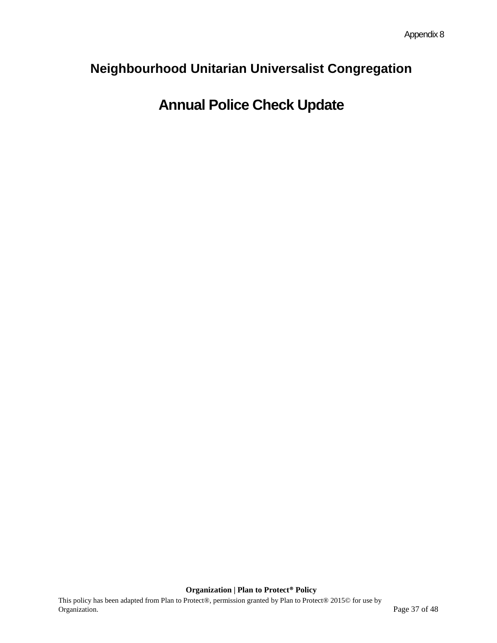# **Annual Police Check Update**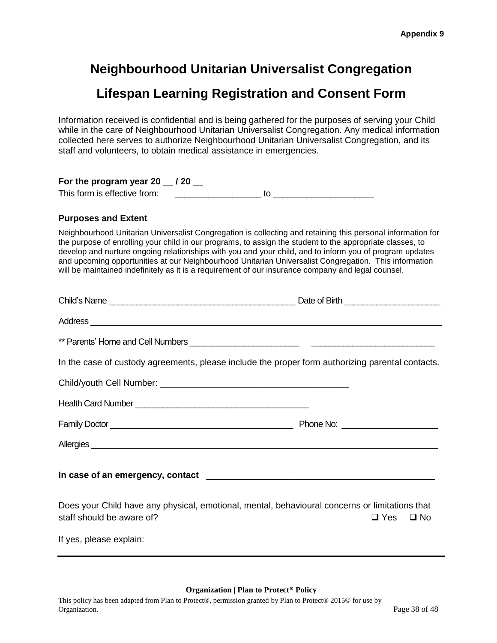# <span id="page-37-0"></span>**Lifespan Learning Registration and Consent Form**

<span id="page-37-1"></span>Information received is confidential and is being gathered for the purposes of serving your Child while in the care of Neighbourhood Unitarian Universalist Congregation. Any medical information collected here serves to authorize Neighbourhood Unitarian Universalist Congregation, and its staff and volunteers, to obtain medical assistance in emergencies.

#### **For the program year 20 \_\_ / 20 \_\_**

This form is effective from: \_\_\_\_\_\_\_\_\_\_\_\_\_\_\_\_\_\_ to \_\_\_\_\_\_\_\_\_\_\_\_\_\_\_\_\_\_\_\_\_

#### **Purposes and Extent**

Neighbourhood Unitarian Universalist Congregation is collecting and retaining this personal information for the purpose of enrolling your child in our programs, to assign the student to the appropriate classes, to develop and nurture ongoing relationships with you and your child, and to inform you of program updates and upcoming opportunities at our Neighbourhood Unitarian Universalist Congregation. This information will be maintained indefinitely as it is a requirement of our insurance company and legal counsel.

| Address                                                                                                                     |                      |
|-----------------------------------------------------------------------------------------------------------------------------|----------------------|
|                                                                                                                             |                      |
| In the case of custody agreements, please include the proper form authorizing parental contacts.                            |                      |
|                                                                                                                             |                      |
|                                                                                                                             |                      |
|                                                                                                                             |                      |
|                                                                                                                             |                      |
|                                                                                                                             |                      |
| Does your Child have any physical, emotional, mental, behavioural concerns or limitations that<br>staff should be aware of? | $\Box$ Yes $\Box$ No |
| If yes, please explain:                                                                                                     |                      |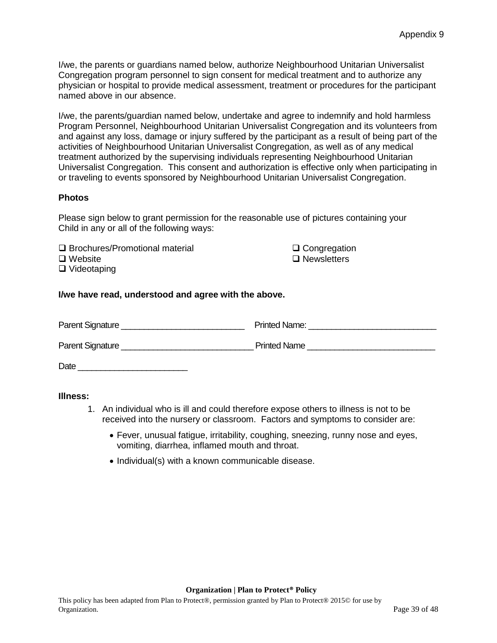I/we, the parents or guardians named below, authorize Neighbourhood Unitarian Universalist Congregation program personnel to sign consent for medical treatment and to authorize any physician or hospital to provide medical assessment, treatment or procedures for the participant named above in our absence.

I/we, the parents/guardian named below, undertake and agree to indemnify and hold harmless Program Personnel, Neighbourhood Unitarian Universalist Congregation and its volunteers from and against any loss, damage or injury suffered by the participant as a result of being part of the activities of Neighbourhood Unitarian Universalist Congregation, as well as of any medical treatment authorized by the supervising individuals representing Neighbourhood Unitarian Universalist Congregation. This consent and authorization is effective only when participating in or traveling to events sponsored by Neighbourhood Unitarian Universalist Congregation.

#### **Photos**

Please sign below to grant permission for the reasonable use of pictures containing your Child in any or all of the following ways:

 $\square$  Brochures/Promotional material  $\square$  Congregation □ Website Newsletters Newsletters Newsletters Newsletters Newsletters Newsletters Newsletters Newsletters N □ Videotaping

#### **I/we have read, understood and agree with the above.**

Parent Signature **Example 2** and the Printed Name:  $\blacksquare$ Parent Signature \_\_\_\_\_\_\_\_\_\_\_\_\_\_\_\_\_\_\_\_\_\_\_\_\_\_\_\_\_ Printed Name \_\_\_\_\_\_\_\_\_\_\_\_\_\_\_\_\_\_\_\_\_\_\_\_\_\_\_\_ Date  $\Box$ 

#### <span id="page-38-0"></span>**Illness:**

- 1. An individual who is ill and could therefore expose others to illness is not to be received into the nursery or classroom. Factors and symptoms to consider are:
	- Fever, unusual fatigue, irritability, coughing, sneezing, runny nose and eyes, vomiting, diarrhea, inflamed mouth and throat.
	- Individual(s) with a known communicable disease.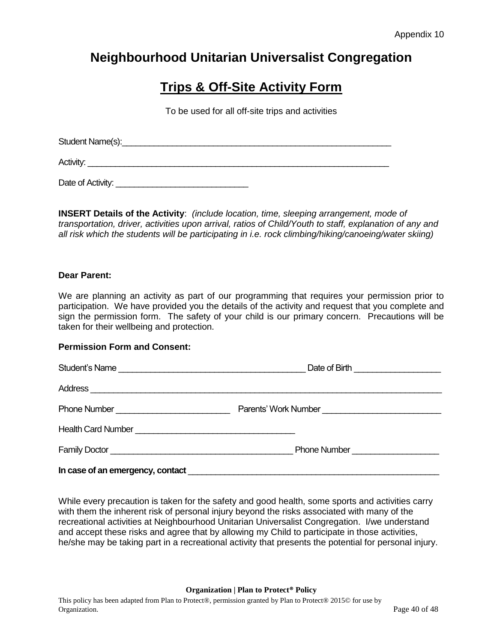# **Trips & Off-Site Activity Form**

To be used for all off-site trips and activities

| Student Name(s): |  |  |  |
|------------------|--|--|--|
| Activity:        |  |  |  |

**INSERT Details of the Activity**: *(include location, time, sleeping arrangement, mode of transportation, driver, activities upon arrival, ratios of Child/Youth to staff, explanation of any and all risk which the students will be participating in i.e. rock climbing/hiking/canoeing/water skiing)*

#### **Dear Parent:**

We are planning an activity as part of our programming that requires your permission prior to participation. We have provided you the details of the activity and request that you complete and sign the permission form. The safety of your child is our primary concern. Precautions will be taken for their wellbeing and protection.

#### **Permission Form and Consent:**

Date of Activity: \_\_\_\_\_\_\_\_\_\_\_\_\_\_\_\_\_\_\_\_\_\_\_\_\_\_\_\_\_

| Phone Number | Parents' Work Number                 |
|--------------|--------------------------------------|
|              |                                      |
|              | Phone Number _______________________ |
|              |                                      |

While every precaution is taken for the safety and good health, some sports and activities carry with them the inherent risk of personal injury beyond the risks associated with many of the recreational activities at Neighbourhood Unitarian Universalist Congregation. I/we understand and accept these risks and agree that by allowing my Child to participate in those activities, he/she may be taking part in a recreational activity that presents the potential for personal injury.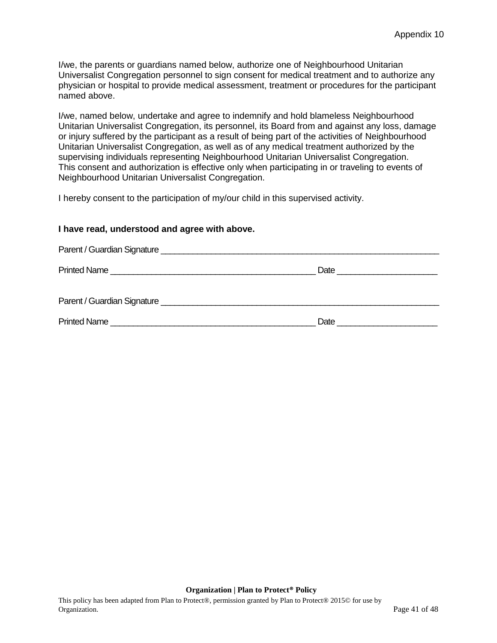I/we, the parents or guardians named below, authorize one of Neighbourhood Unitarian Universalist Congregation personnel to sign consent for medical treatment and to authorize any physician or hospital to provide medical assessment, treatment or procedures for the participant named above.

I/we, named below, undertake and agree to indemnify and hold blameless Neighbourhood Unitarian Universalist Congregation, its personnel, its Board from and against any loss, damage or injury suffered by the participant as a result of being part of the activities of Neighbourhood Unitarian Universalist Congregation, as well as of any medical treatment authorized by the supervising individuals representing Neighbourhood Unitarian Universalist Congregation. This consent and authorization is effective only when participating in or traveling to events of Neighbourhood Unitarian Universalist Congregation.

I hereby consent to the participation of my/our child in this supervised activity.

#### **I have read, understood and agree with above.**

| Date <u>__________________________</u> |
|----------------------------------------|
|                                        |
|                                        |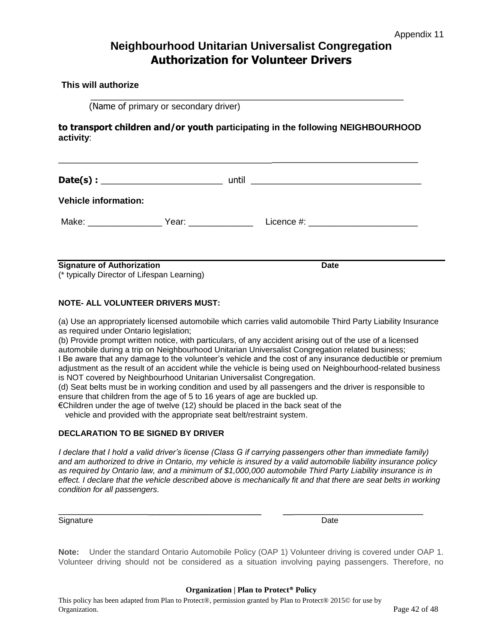# **Neighbourhood Unitarian Universalist Congregation Authorization for Volunteer Drivers**

**This will authorize**

(Name of primary or secondary driver)

**to transport children and/or youth participating in the following NEIGHBOURHOOD activity**:

 $\overline{\phantom{a}}$  ,  $\overline{\phantom{a}}$  ,  $\overline{\phantom{a}}$  ,  $\overline{\phantom{a}}$  ,  $\overline{\phantom{a}}$  ,  $\overline{\phantom{a}}$  ,  $\overline{\phantom{a}}$  ,  $\overline{\phantom{a}}$  ,  $\overline{\phantom{a}}$  ,  $\overline{\phantom{a}}$  ,  $\overline{\phantom{a}}$  ,  $\overline{\phantom{a}}$  ,  $\overline{\phantom{a}}$  ,  $\overline{\phantom{a}}$  ,  $\overline{\phantom{a}}$  ,  $\overline{\phantom{a}}$ 

| <b>Vehicle information:</b> |  |
|-----------------------------|--|
|                             |  |

**Signature of Authorization Date** (\* typically Director of Lifespan Learning)

#### **NOTE- ALL VOLUNTEER DRIVERS MUST:**

(a) Use an appropriately licensed automobile which carries valid automobile Third Party Liability Insurance as required under Ontario legislation;

(b) Provide prompt written notice, with particulars, of any accident arising out of the use of a licensed automobile during a trip on Neighbourhood Unitarian Universalist Congregation related business; I Be aware that any damage to the volunteer's vehicle and the cost of any insurance deductible or premium adjustment as the result of an accident while the vehicle is being used on Neighbourhood-related business is NOT covered by Neighbourhood Unitarian Universalist Congregation.

(d) Seat belts must be in working condition and used by all passengers and the driver is responsible to ensure that children from the age of 5 to 16 years of age are buckled up.

€Children under the age of twelve (12) should be placed in the back seat of the

vehicle and provided with the appropriate seat belt/restraint system.

#### **DECLARATION TO BE SIGNED BY DRIVER**

*I declare that I hold a valid driver's license (Class G if carrying passengers other than immediate family) and am authorized to drive in Ontario, my vehicle is insured by a valid automobile liability insurance policy as required by Ontario law, and a minimum of \$1,000,000 automobile Third Party Liability insurance is in effect. I declare that the vehicle described above is mechanically fit and that there are seat belts in working condition for all passengers.* 

\_\_\_\_\_\_\_\_\_\_\_\_\_\_\_\_\_\_\_\_\_\_\_\_\_\_\_\_\_\_\_\_\_\_\_\_\_\_\_ \_\_\_\_\_\_\_\_\_\_\_\_\_\_\_\_\_\_\_\_\_\_\_\_\_\_\_\_

Signature Date Date of the Date of the Date of the Date of the Date of the Date of the Date of the Date of the Date of the Date of the Date of the Date of the Date of the Date of the Date of the Date of the Date of the Dat

**Note:** Under the standard Ontario Automobile Policy (OAP 1) Volunteer driving is covered under OAP 1. Volunteer driving should not be considered as a situation involving paying passengers. Therefore, no

#### **Organization | Plan to Protect® Policy**

This policy has been adapted from Plan to Protect®, permission granted by Plan to Protect® 2015© for use by Organization. Page 42 of 48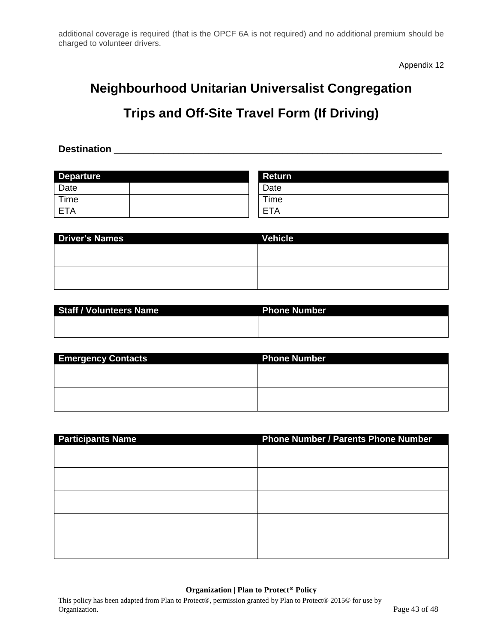additional coverage is required (that is the OPCF 6A is not required) and no additional premium should be charged to volunteer drivers.

Appendix 12

# **Neighbourhood Unitarian Universalist Congregation**

# **Trips and Off-Site Travel Form (If Driving)**

**Destination Destination** 

| <b>Departure</b> | <b>Return</b>    |
|------------------|------------------|
| Date             | Date             |
| Time             | $T$ ime          |
| <b>ETA</b>       | $T_{\mathsf{A}}$ |

| <b>Driver's Names</b> | Vehicle |
|-----------------------|---------|
|                       |         |
|                       |         |
|                       |         |
|                       |         |

| <b>Staff / Volunteers Name</b> | <b>Phone Number</b> |
|--------------------------------|---------------------|
|                                |                     |
|                                |                     |

| <b>Emergency Contacts</b> | <b>Phone Number</b> |
|---------------------------|---------------------|
|                           |                     |
|                           |                     |
|                           |                     |
|                           |                     |

| <b>Participants Name</b> | <b>Phone Number / Parents Phone Number</b> |
|--------------------------|--------------------------------------------|
|                          |                                            |
|                          |                                            |
|                          |                                            |
|                          |                                            |
|                          |                                            |
|                          |                                            |
|                          |                                            |
|                          |                                            |
|                          |                                            |
|                          |                                            |

#### **Organization | Plan to Protect® Policy**

This policy has been adapted from Plan to Protect®, permission granted by Plan to Protect® 2015© for use by Organization. Page 43 of 48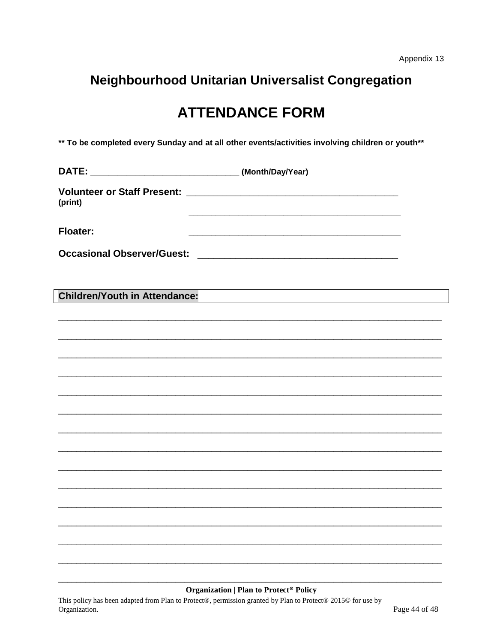# **ATTENDANCE FORM**

\*\* To be completed every Sunday and at all other events/activities involving children or youth\*\*

| <b>Volunteer or Staff Present:</b> |  |
|------------------------------------|--|
| (print)                            |  |
|                                    |  |

**Floater:** 

**Children/Youth in Attendance:** 

#### **Organization | Plan to Protect<sup>®</sup> Policy**

This policy has been adapted from Plan to Protect®, permission granted by Plan to Protect® 2015© for use by Organization.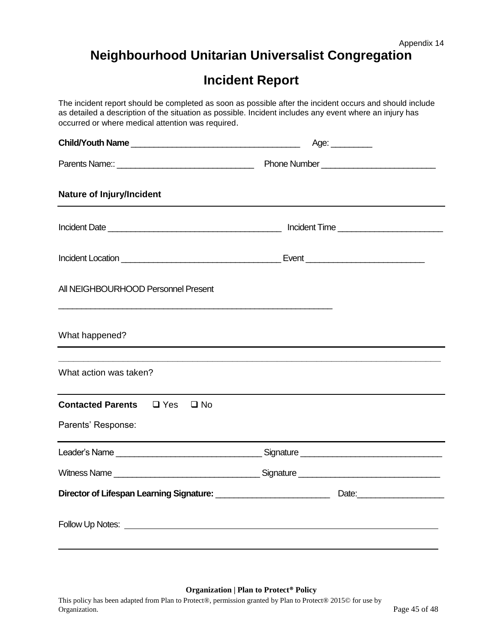# **Incident Report**

<span id="page-44-0"></span>The incident report should be completed as soon as possible after the incident occurs and should include as detailed a description of the situation as possible. Incident includes any event where an injury has occurred or where medical attention was required. **Child/Youth Name** \_\_\_\_\_\_\_\_\_\_\_\_\_\_\_\_\_\_\_\_\_\_\_\_\_\_\_\_\_\_\_\_\_\_\_\_\_ Age: \_\_\_\_\_\_\_\_\_ Parents Name:: \_\_\_\_\_\_\_\_\_\_\_\_\_\_\_\_\_\_\_\_\_\_\_\_\_\_\_\_\_\_ Phone Number \_\_\_\_\_\_\_\_\_\_\_\_\_\_\_\_\_\_\_\_\_\_\_\_\_ **Nature of Injury/Incident** Incident Date \_\_\_\_\_\_\_\_\_\_\_\_\_\_\_\_\_\_\_\_\_\_\_\_\_\_\_\_\_\_\_\_\_\_\_\_\_\_ Incident Time \_\_\_\_\_\_\_\_\_\_\_\_\_\_\_\_\_\_\_\_\_\_\_ Incident Location \_\_\_\_\_\_\_\_\_\_\_\_\_\_\_\_\_\_\_\_\_\_\_\_\_\_\_\_\_\_\_\_\_\_\_ Event \_\_\_\_\_\_\_\_\_\_\_\_\_\_\_\_\_\_\_\_\_\_\_\_\_\_ All NEIGHBOURHOOD Personnel Present \_\_\_\_\_\_\_\_\_\_\_\_\_\_\_\_\_\_\_\_\_\_\_\_\_\_\_\_\_\_\_\_\_\_\_\_\_\_\_\_\_\_\_\_\_\_\_\_\_\_\_\_\_\_\_\_\_\_\_\_ What happened? **\_\_\_\_\_\_\_\_\_\_\_\_\_\_\_\_\_\_\_\_\_\_\_\_\_\_\_\_\_\_\_\_\_\_\_\_\_\_\_\_\_\_\_\_\_\_\_\_\_\_\_\_\_\_\_\_\_\_\_\_\_\_\_\_\_\_\_\_\_\_\_\_\_\_\_\_\_** What action was taken? **Contacted Parents** □ Yes □ No Parents' Response: Leader's Name \_\_\_\_\_\_\_\_\_\_\_\_\_\_\_\_\_\_\_\_\_\_\_\_\_\_\_\_\_\_\_\_ Signature \_\_\_\_\_\_\_\_\_\_\_\_\_\_\_\_\_\_\_\_\_\_\_\_\_\_\_\_\_\_\_ Witness Name \_\_\_\_\_\_\_\_\_\_\_\_\_\_\_\_\_\_\_\_\_\_\_\_\_\_\_\_\_\_\_\_ Signature \_\_\_\_\_\_\_\_\_\_\_\_\_\_\_\_\_\_\_\_\_\_\_\_\_\_\_\_\_\_\_ **Director of Lifespan Learning Signature:** \_\_\_\_\_\_\_\_\_\_\_\_\_\_\_\_\_\_\_\_\_\_\_\_\_ Date:\_\_\_\_\_\_\_\_\_\_\_\_\_\_\_\_\_\_\_ Follow Up Notes:

#### **Organization | Plan to Protect® Policy**

This policy has been adapted from Plan to Protect®, permission granted by Plan to Protect® 2015© for use by Organization. Page 45 of 48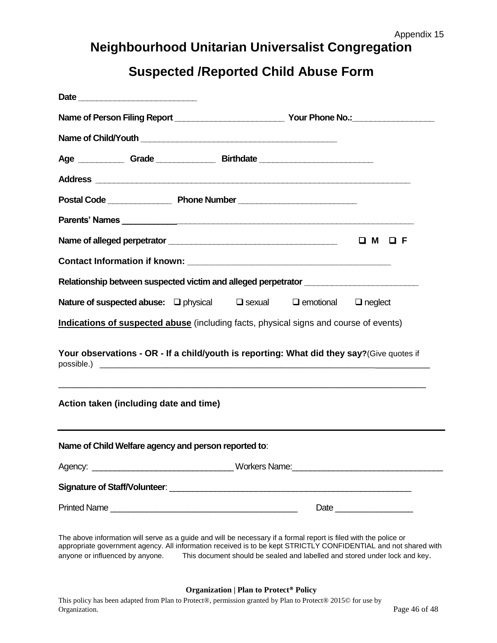# **Suspected /Reported Child Abuse Form**

<span id="page-45-0"></span>

|                                                                                                                                                                                                                                                                 |  |  | Age _____________Grade ____________________Birthdate ___________________________ |                                                                                                                                                                   |  |
|-----------------------------------------------------------------------------------------------------------------------------------------------------------------------------------------------------------------------------------------------------------------|--|--|----------------------------------------------------------------------------------|-------------------------------------------------------------------------------------------------------------------------------------------------------------------|--|
|                                                                                                                                                                                                                                                                 |  |  |                                                                                  |                                                                                                                                                                   |  |
|                                                                                                                                                                                                                                                                 |  |  |                                                                                  |                                                                                                                                                                   |  |
|                                                                                                                                                                                                                                                                 |  |  |                                                                                  |                                                                                                                                                                   |  |
|                                                                                                                                                                                                                                                                 |  |  |                                                                                  |                                                                                                                                                                   |  |
|                                                                                                                                                                                                                                                                 |  |  |                                                                                  |                                                                                                                                                                   |  |
|                                                                                                                                                                                                                                                                 |  |  |                                                                                  | Relationship between suspected victim and alleged perpetrator __________________                                                                                  |  |
|                                                                                                                                                                                                                                                                 |  |  |                                                                                  |                                                                                                                                                                   |  |
|                                                                                                                                                                                                                                                                 |  |  |                                                                                  |                                                                                                                                                                   |  |
|                                                                                                                                                                                                                                                                 |  |  |                                                                                  |                                                                                                                                                                   |  |
|                                                                                                                                                                                                                                                                 |  |  |                                                                                  | Your observations - OR - If a child/youth is reporting: What did they say?(Give quotes if<br><u> 1989 - Johann Barn, mars an t-Amerikaansk komponent († 1989)</u> |  |
|                                                                                                                                                                                                                                                                 |  |  |                                                                                  |                                                                                                                                                                   |  |
|                                                                                                                                                                                                                                                                 |  |  |                                                                                  |                                                                                                                                                                   |  |
|                                                                                                                                                                                                                                                                 |  |  |                                                                                  |                                                                                                                                                                   |  |
| Nature of suspected abuse: □ physical □ sexual □ emotional □ neglect<br>Indications of suspected abuse (including facts, physical signs and course of events)<br>Action taken (including date and time)<br>Name of Child Welfare agency and person reported to: |  |  |                                                                                  |                                                                                                                                                                   |  |

appropriate government agency. All information received is to be kept STRICTLY CONFIDENTIAL and not shared with anyone or influenced by anyone. This document should be sealed and labelled and stored under lock and key.

#### **Organization | Plan to Protect® Policy**

This policy has been adapted from Plan to Protect®, permission granted by Plan to Protect® 2015© for use by Organization. Page 46 of 48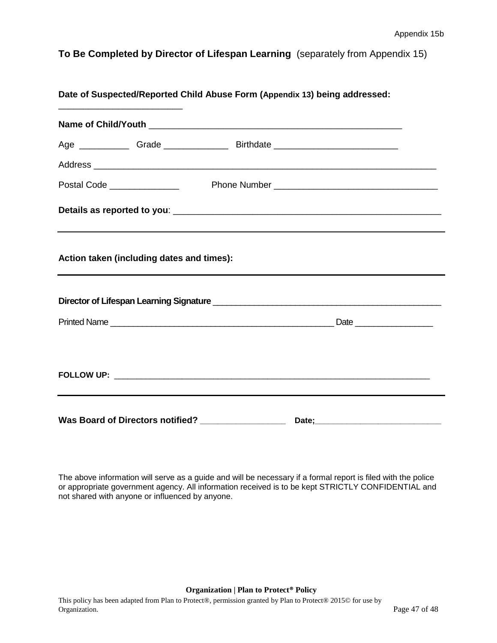<span id="page-46-0"></span>**To Be Completed by Director of Lifespan Learning** (separately from Appendix 15)

| <u> 1989 - Johann Barbara, margaret eta idazlea (h. 1989).</u> | Date of Suspected/Reported Child Abuse Form (Appendix 13) being addressed: |                                                                                  |  |
|----------------------------------------------------------------|----------------------------------------------------------------------------|----------------------------------------------------------------------------------|--|
|                                                                |                                                                            |                                                                                  |  |
|                                                                |                                                                            |                                                                                  |  |
|                                                                |                                                                            |                                                                                  |  |
|                                                                |                                                                            |                                                                                  |  |
|                                                                |                                                                            |                                                                                  |  |
| Action taken (including dates and times):                      |                                                                            |                                                                                  |  |
|                                                                |                                                                            |                                                                                  |  |
|                                                                |                                                                            |                                                                                  |  |
|                                                                |                                                                            |                                                                                  |  |
|                                                                |                                                                            | ,我们也不会有什么?""我们的人,我们也不会有什么?""我们的人,我们也不会有什么?""我们的人,我们也不会有什么?""我们的人,我们也不会有什么?""我们的人 |  |
|                                                                | Was Board of Directors notified? ________________                          |                                                                                  |  |

The above information will serve as a guide and will be necessary if a formal report is filed with the police or appropriate government agency. All information received is to be kept STRICTLY CONFIDENTIAL and not shared with anyone or influenced by anyone.